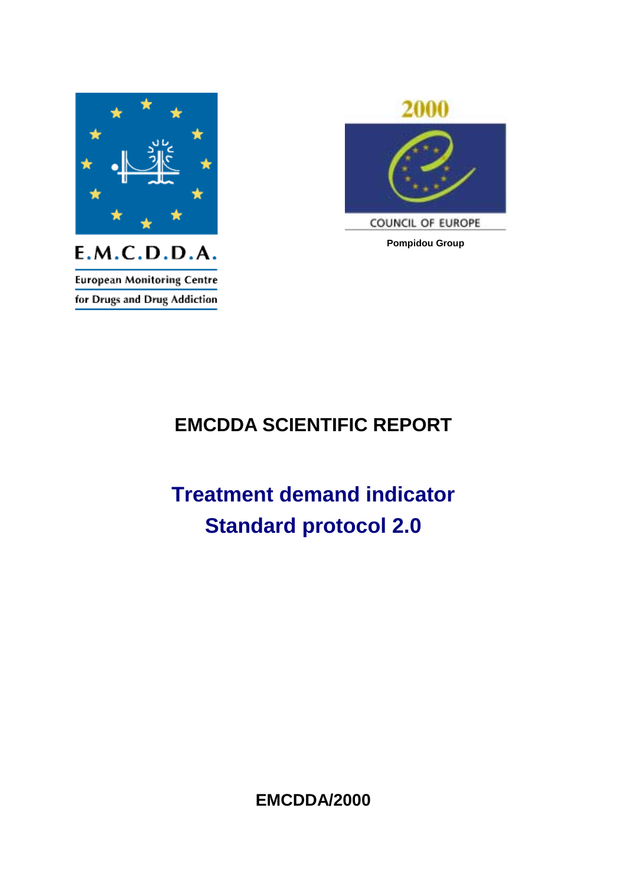

2000

COUNCIL OF EUROPE **Pompidou Group** 

**European Monitoring Centre** 

## **EMCDDA SCIENTIFIC REPORT**

# **Treatment demand indicator Standard protocol 2.0**

**EMCDDA/2000**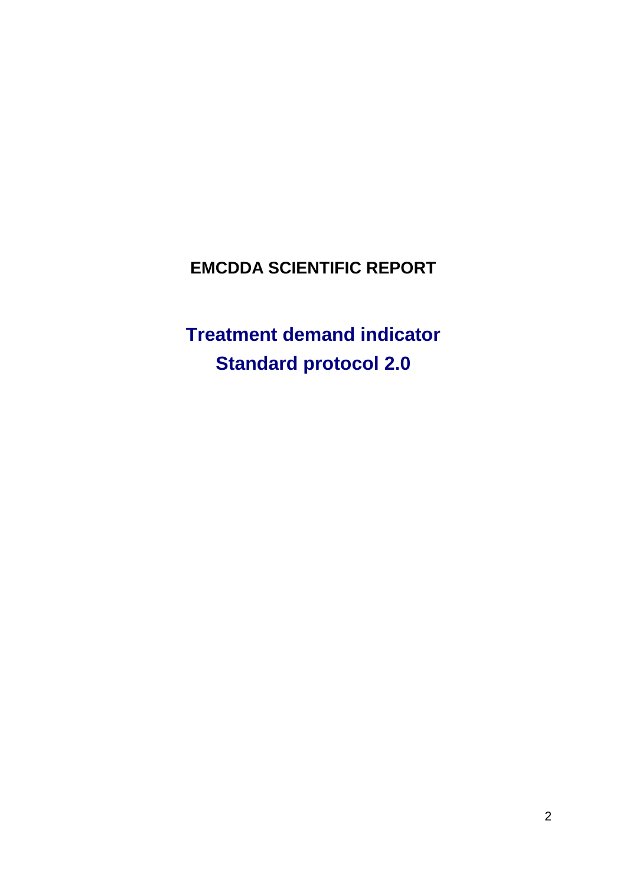## **EMCDDA SCIENTIFIC REPORT**

**Treatment demand indicator Standard protocol 2.0**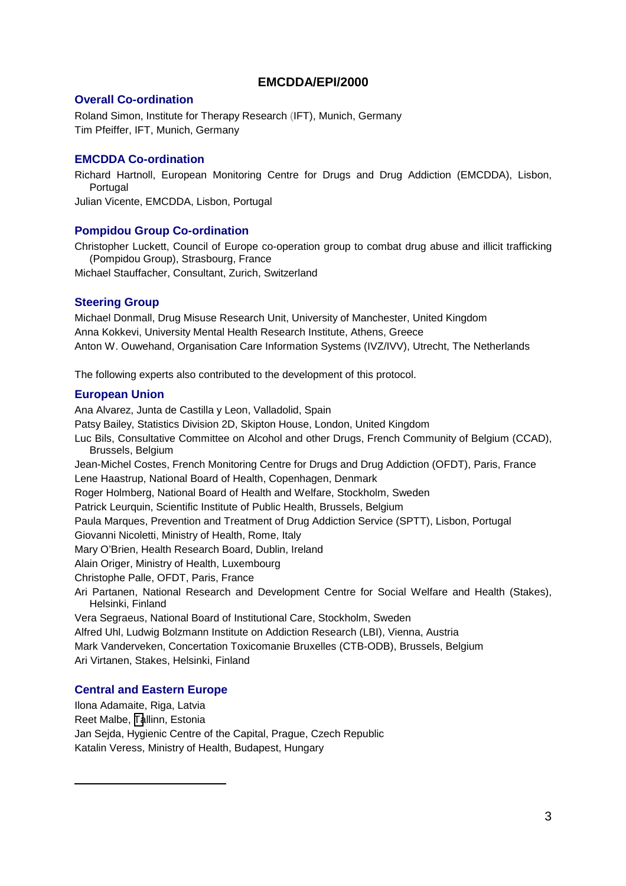#### **EMCDDA/EPI/2000**

#### **Overall Co-ordination**

Roland Simon, Institute for Therapy Research (IFT), Munich, Germany Tim Pfeiffer, IFT, Munich, Germany

#### **EMCDDA Co-ordination**

Richard Hartnoll, European Monitoring Centre for Drugs and Drug Addiction (EMCDDA), Lisbon, Portugal Julian Vicente, EMCDDA, Lisbon, Portugal

#### **Pompidou Group Co-ordination**

Christopher Luckett, Council of Europe co-operation group to combat drug abuse and illicit trafficking (Pompidou Group), Strasbourg, France

Michael Stauffacher, Consultant, Zurich, Switzerland

#### **Steering Group**

Michael Donmall, Drug Misuse Research Unit, University of Manchester, United Kingdom Anna Kokkevi, University Mental Health Research Institute, Athens, Greece Anton W. Ouwehand, Organisation Care Information Systems (IVZ/IVV), Utrecht, The Netherlands

The following experts also contributed to the development of this protocol.

#### **European Union**

Ana Alvarez, Junta de Castilla y Leon, Valladolid, Spain Patsy Bailey, Statistics Division 2D, Skipton House, London, United Kingdom Luc Bils, Consultative Committee on Alcohol and other Drugs, French Community of Belgium (CCAD), Brussels, Belgium Jean-Michel Costes, French Monitoring Centre for Drugs and Drug Addiction (OFDT), Paris, France Lene Haastrup, National Board of Health, Copenhagen, Denmark Roger Holmberg, National Board of Health and Welfare, Stockholm, Sweden Patrick Leurquin, Scientific Institute of Public Health, Brussels, Belgium Paula Marques, Prevention and Treatment of Drug Addiction Service (SPTT), Lisbon, Portugal Giovanni Nicoletti, Ministry of Health, Rome, Italy Mary O'Brien, Health Research Board, Dublin, Ireland Alain Origer, Ministry of Health, Luxembourg Christophe Palle, OFDT, Paris, France Ari Partanen, National Research and Development Centre for Social Welfare and Health (Stakes), Helsinki, Finland Vera Segraeus, National Board of Institutional Care, Stockholm, Sweden Alfred Uhl, Ludwig Bolzmann Institute on Addiction Research (LBI), Vienna, Austria Mark Vanderveken, Concertation Toxicomanie Bruxelles (CTB-ODB), Brussels, Belgium Ari Virtanen, Stakes, Helsinki, Finland

#### **Central and Eastern Europe**

 $\overline{a}$ 

Ilona Adamaite, Riga, Latvia Reet Malbe, [Ta](mailto:info@emcdda.org)llinn, Estonia Jan Sejda, Hygienic Centre of the Capital, Prague, Czech Republic Katalin Veress, Ministry of Health, Budapest, Hungary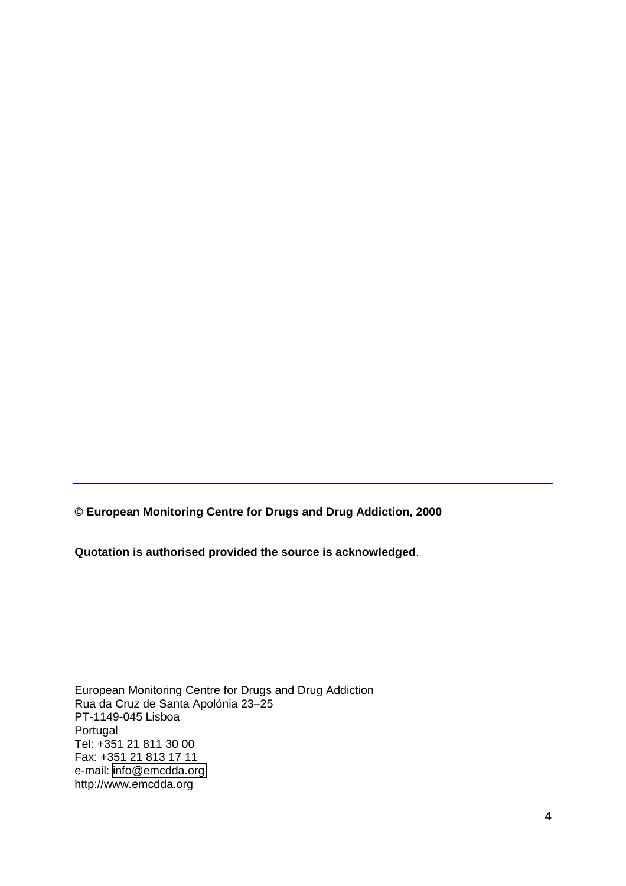**© European Monitoring Centre for Drugs and Drug Addiction, 2000** 

**Quotation is authorised provided the source is acknowledged**.

European Monitoring Centre for Drugs and Drug Addiction Rua da Cruz de Santa Apolónia 23–25 PT-1149-045 Lisboa Portugal Tel: +351 21 811 30 00 Fax: +351 21 813 17 11 e-mail: [info@emcdda.org](mailto:info@emcdda.org)  http://www.emcdda.org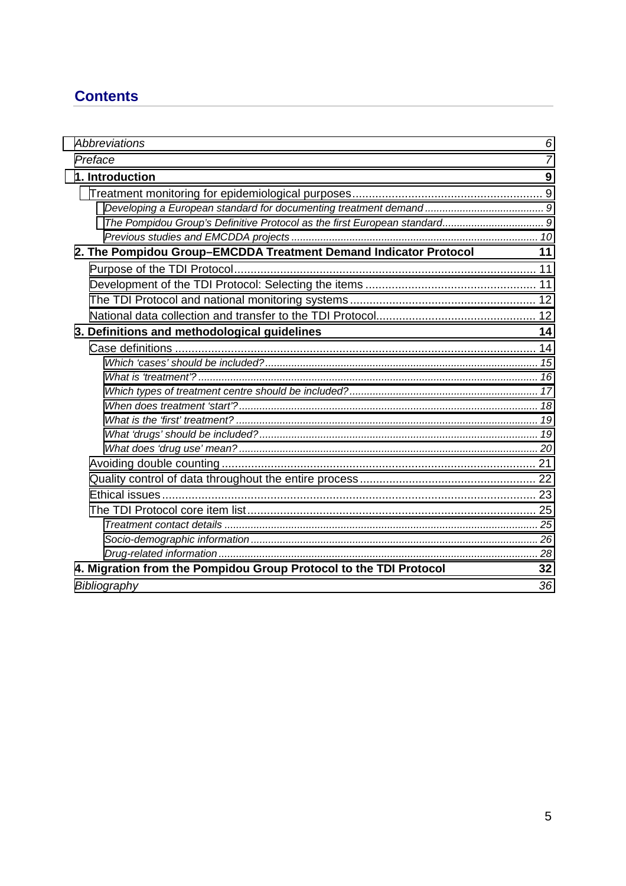## **Contents**

| Abbreviations                                                     | 6  |
|-------------------------------------------------------------------|----|
| Preface                                                           | 7  |
| 1. Introduction                                                   | 9  |
|                                                                   |    |
|                                                                   |    |
|                                                                   |    |
|                                                                   |    |
| 2. The Pompidou Group-EMCDDA Treatment Demand Indicator Protocol  | 11 |
|                                                                   |    |
|                                                                   |    |
|                                                                   |    |
|                                                                   |    |
| 3. Definitions and methodological guidelines                      | 14 |
|                                                                   |    |
|                                                                   |    |
|                                                                   |    |
|                                                                   |    |
|                                                                   |    |
|                                                                   |    |
|                                                                   |    |
|                                                                   |    |
|                                                                   |    |
|                                                                   |    |
|                                                                   |    |
|                                                                   |    |
|                                                                   |    |
|                                                                   |    |
|                                                                   |    |
| 4. Migration from the Pompidou Group Protocol to the TDI Protocol | 32 |
| Bibliography                                                      | 36 |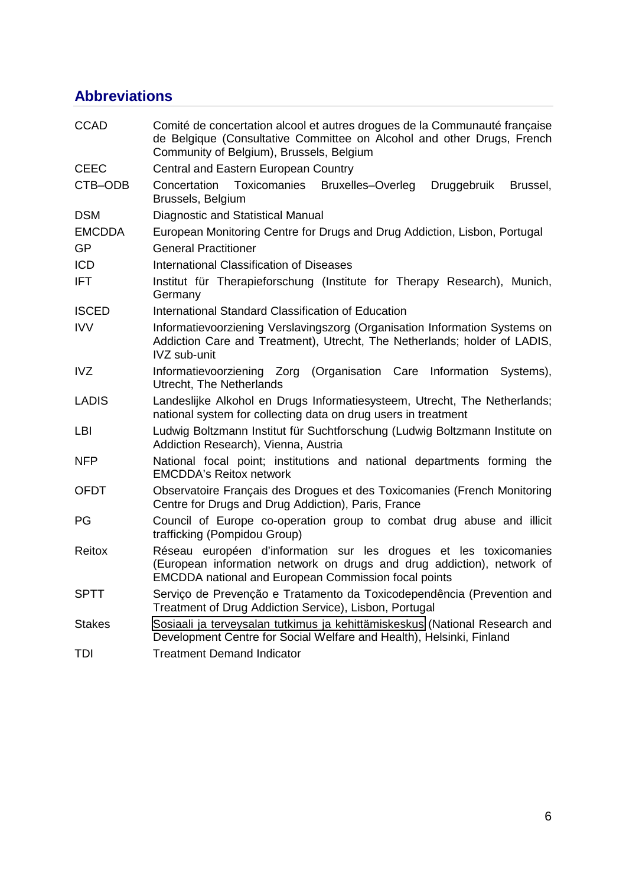## <span id="page-5-0"></span>**Abbreviations**

| <b>CCAD</b>   | Comité de concertation alcool et autres drogues de la Communauté française<br>de Belgique (Consultative Committee on Alcohol and other Drugs, French<br>Community of Belgium), Brussels, Belgium           |  |  |  |  |
|---------------|------------------------------------------------------------------------------------------------------------------------------------------------------------------------------------------------------------|--|--|--|--|
| <b>CEEC</b>   | Central and Eastern European Country                                                                                                                                                                       |  |  |  |  |
| CTB-ODB       | Concertation<br>Toxicomanies<br><b>Bruxelles-Overleg</b><br>Druggebruik<br>Brussel,<br>Brussels, Belgium                                                                                                   |  |  |  |  |
| <b>DSM</b>    | Diagnostic and Statistical Manual                                                                                                                                                                          |  |  |  |  |
| <b>EMCDDA</b> | European Monitoring Centre for Drugs and Drug Addiction, Lisbon, Portugal                                                                                                                                  |  |  |  |  |
| <b>GP</b>     | <b>General Practitioner</b>                                                                                                                                                                                |  |  |  |  |
| <b>ICD</b>    | International Classification of Diseases                                                                                                                                                                   |  |  |  |  |
| <b>IFT</b>    | Institut für Therapieforschung (Institute for Therapy Research), Munich,<br>Germany                                                                                                                        |  |  |  |  |
| <b>ISCED</b>  | International Standard Classification of Education                                                                                                                                                         |  |  |  |  |
| <b>IVV</b>    | Informatievoorziening Verslavingszorg (Organisation Information Systems on<br>Addiction Care and Treatment), Utrecht, The Netherlands; holder of LADIS,<br><b>IVZ</b> sub-unit                             |  |  |  |  |
| <b>IVZ</b>    | Informatievoorziening Zorg<br>(Organisation Care Information Systems),<br>Utrecht, The Netherlands                                                                                                         |  |  |  |  |
| LADIS         | Landeslijke Alkohol en Drugs Informatiesysteem, Utrecht, The Netherlands;<br>national system for collecting data on drug users in treatment                                                                |  |  |  |  |
| LBI           | Ludwig Boltzmann Institut für Suchtforschung (Ludwig Boltzmann Institute on<br>Addiction Research), Vienna, Austria                                                                                        |  |  |  |  |
| <b>NFP</b>    | National focal point; institutions and national departments forming the<br><b>EMCDDA's Reitox network</b>                                                                                                  |  |  |  |  |
| <b>OFDT</b>   | Observatoire Français des Drogues et des Toxicomanies (French Monitoring<br>Centre for Drugs and Drug Addiction), Paris, France                                                                            |  |  |  |  |
| PG            | Council of Europe co-operation group to combat drug abuse and illicit<br>trafficking (Pompidou Group)                                                                                                      |  |  |  |  |
| Reitox        | Réseau européen d'information sur les drogues et les toxicomanies<br>(European information network on drugs and drug addiction), network of<br><b>EMCDDA</b> national and European Commission focal points |  |  |  |  |
| <b>SPTT</b>   | Serviço de Prevenção e Tratamento da Toxicodependência (Prevention and<br>Treatment of Drug Addiction Service), Lisbon, Portugal                                                                           |  |  |  |  |
| <b>Stakes</b> | Sosiaali ja terveysalan tutkimus ja kehittämiskeskus (National Research and<br>Development Centre for Social Welfare and Health), Helsinki, Finland                                                        |  |  |  |  |
| TDI           | <b>Treatment Demand Indicator</b>                                                                                                                                                                          |  |  |  |  |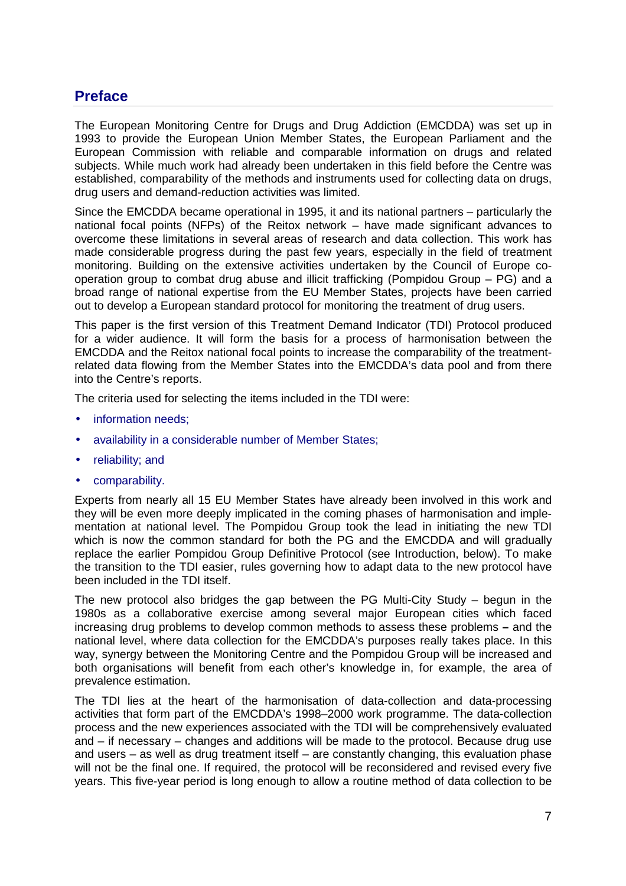## <span id="page-6-0"></span>**Preface**

The European Monitoring Centre for Drugs and Drug Addiction (EMCDDA) was set up in 1993 to provide the European Union Member States, the European Parliament and the European Commission with reliable and comparable information on drugs and related subjects. While much work had already been undertaken in this field before the Centre was established, comparability of the methods and instruments used for collecting data on drugs, drug users and demand-reduction activities was limited.

Since the EMCDDA became operational in 1995, it and its national partners – particularly the national focal points (NFPs) of the Reitox network – have made significant advances to overcome these limitations in several areas of research and data collection. This work has made considerable progress during the past few years, especially in the field of treatment monitoring. Building on the extensive activities undertaken by the Council of Europe cooperation group to combat drug abuse and illicit trafficking (Pompidou Group – PG) and a broad range of national expertise from the EU Member States, projects have been carried out to develop a European standard protocol for monitoring the treatment of drug users.

This paper is the first version of this Treatment Demand Indicator (TDI) Protocol produced for a wider audience. It will form the basis for a process of harmonisation between the EMCDDA and the Reitox national focal points to increase the comparability of the treatmentrelated data flowing from the Member States into the EMCDDA's data pool and from there into the Centre's reports.

The criteria used for selecting the items included in the TDI were:

- information needs:
- availability in a considerable number of Member States:
- reliability; and
- comparability.

Experts from nearly all 15 EU Member States have already been involved in this work and they will be even more deeply implicated in the coming phases of harmonisation and implementation at national level. The Pompidou Group took the lead in initiating the new TDI which is now the common standard for both the PG and the EMCDDA and will gradually replace the earlier Pompidou Group Definitive Protocol (see Introduction, below). To make the transition to the TDI easier, rules governing how to adapt data to the new protocol have been included in the TDI itself.

The new protocol also bridges the gap between the PG Multi-City Study – begun in the 1980s as a collaborative exercise among several major European cities which faced increasing drug problems to develop common methods to assess these problems **–** and the national level, where data collection for the EMCDDA's purposes really takes place. In this way, synergy between the Monitoring Centre and the Pompidou Group will be increased and both organisations will benefit from each other's knowledge in, for example, the area of prevalence estimation.

The TDI lies at the heart of the harmonisation of data-collection and data-processing activities that form part of the EMCDDA's 1998–2000 work programme. The data-collection process and the new experiences associated with the TDI will be comprehensively evaluated and – if necessary – changes and additions will be made to the protocol. Because drug use and users – as well as drug treatment itself – are constantly changing, this evaluation phase will not be the final one. If required, the protocol will be reconsidered and revised every five years. This five-year period is long enough to allow a routine method of data collection to be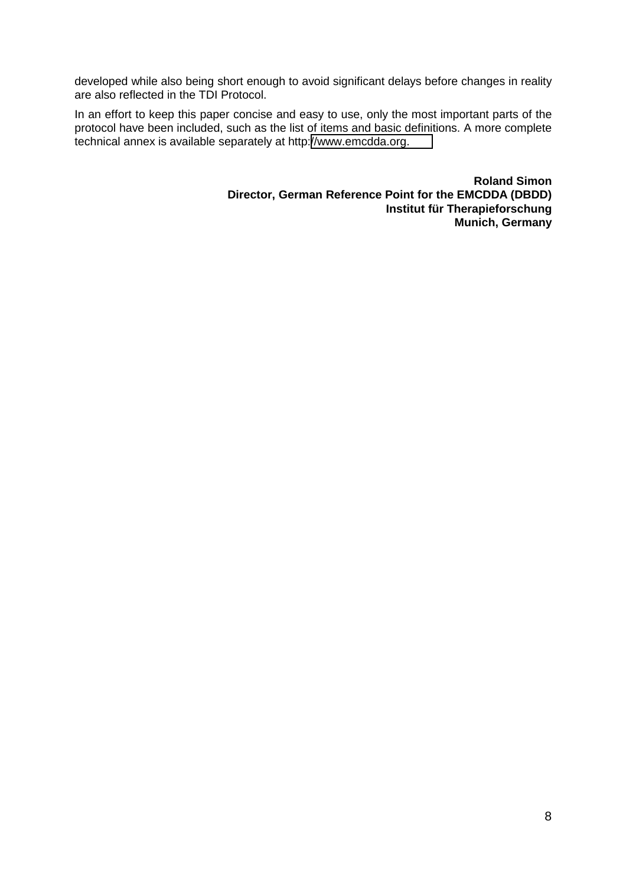developed while also being short enough to avoid significant delays before changes in reality are also reflected in the TDI Protocol.

In an effort to keep this paper concise and easy to use, only the most important parts of the protocol have been included, such as the list of items and basic definitions. A more complete technical annex is available separately at http:[//www.emcdda.org.](http://www.emcdda.org/)

> **Roland Simon Director, German Reference Point for the EMCDDA (DBDD) Institut für Therapieforschung Munich, Germany**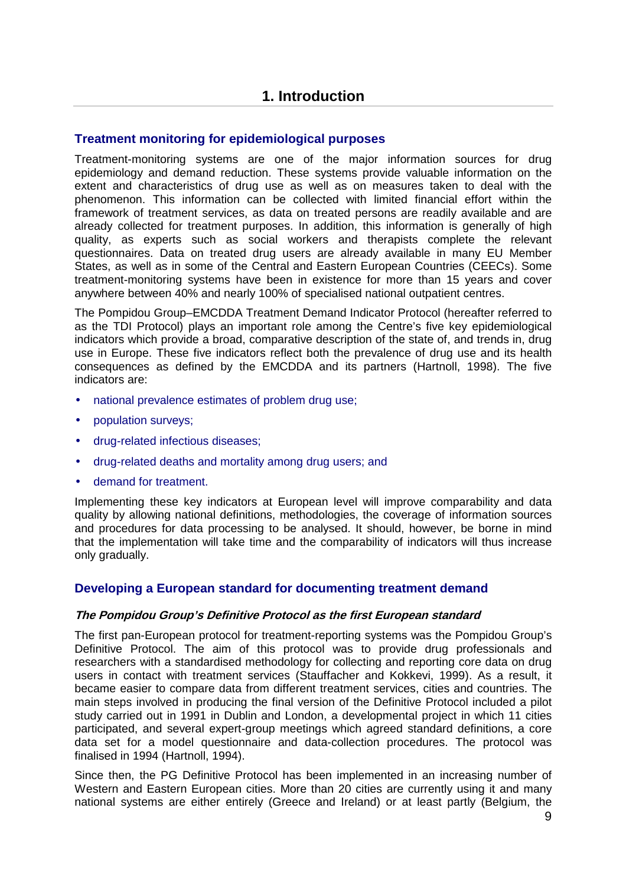#### <span id="page-8-0"></span>**Treatment monitoring for epidemiological purposes**

Treatment-monitoring systems are one of the major information sources for drug epidemiology and demand reduction. These systems provide valuable information on the extent and characteristics of drug use as well as on measures taken to deal with the phenomenon. This information can be collected with limited financial effort within the framework of treatment services, as data on treated persons are readily available and are already collected for treatment purposes. In addition, this information is generally of high quality, as experts such as social workers and therapists complete the relevant questionnaires. Data on treated drug users are already available in many EU Member States, as well as in some of the Central and Eastern European Countries (CEECs). Some treatment-monitoring systems have been in existence for more than 15 years and cover anywhere between 40% and nearly 100% of specialised national outpatient centres.

The Pompidou Group–EMCDDA Treatment Demand Indicator Protocol (hereafter referred to as the TDI Protocol) plays an important role among the Centre's five key epidemiological indicators which provide a broad, comparative description of the state of, and trends in, drug use in Europe. These five indicators reflect both the prevalence of drug use and its health consequences as defined by the EMCDDA and its partners (Hartnoll, 1998). The five indicators are:

- national prevalence estimates of problem drug use;
- population surveys;
- drug-related infectious diseases;
- drug-related deaths and mortality among drug users; and
- demand for treatment.

Implementing these key indicators at European level will improve comparability and data quality by allowing national definitions, methodologies, the coverage of information sources and procedures for data processing to be analysed. It should, however, be borne in mind that the implementation will take time and the comparability of indicators will thus increase only gradually.

#### **Developing a European standard for documenting treatment demand**

#### **The Pompidou Group's Definitive Protocol as the first European standard**

The first pan-European protocol for treatment-reporting systems was the Pompidou Group's Definitive Protocol. The aim of this protocol was to provide drug professionals and researchers with a standardised methodology for collecting and reporting core data on drug users in contact with treatment services (Stauffacher and Kokkevi, 1999). As a result, it became easier to compare data from different treatment services, cities and countries. The main steps involved in producing the final version of the Definitive Protocol included a pilot study carried out in 1991 in Dublin and London, a developmental project in which 11 cities participated, and several expert-group meetings which agreed standard definitions, a core data set for a model questionnaire and data-collection procedures. The protocol was finalised in 1994 (Hartnoll, 1994).

Since then, the PG Definitive Protocol has been implemented in an increasing number of Western and Eastern European cities. More than 20 cities are currently using it and many national systems are either entirely (Greece and Ireland) or at least partly (Belgium, the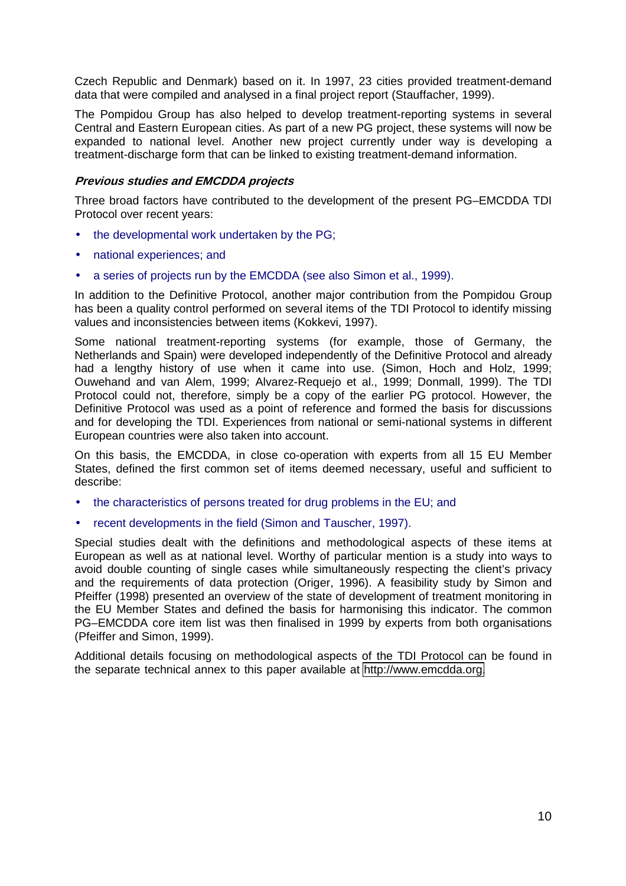<span id="page-9-0"></span>Czech Republic and Denmark) based on it. In 1997, 23 cities provided treatment-demand data that were compiled and analysed in a final project report (Stauffacher, 1999).

The Pompidou Group has also helped to develop treatment-reporting systems in several Central and Eastern European cities. As part of a new PG project, these systems will now be expanded to national level. Another new project currently under way is developing a treatment-discharge form that can be linked to existing treatment-demand information.

#### **Previous studies and EMCDDA projects**

Three broad factors have contributed to the development of the present PG–EMCDDA TDI Protocol over recent years:

- the developmental work undertaken by the PG;
- national experiences; and
- a series of projects run by the EMCDDA (see also Simon et al., 1999).

In addition to the Definitive Protocol, another major contribution from the Pompidou Group has been a quality control performed on several items of the TDI Protocol to identify missing values and inconsistencies between items (Kokkevi, 1997).

Some national treatment-reporting systems (for example, those of Germany, the Netherlands and Spain) were developed independently of the Definitive Protocol and already had a lengthy history of use when it came into use. (Simon, Hoch and Holz, 1999; Ouwehand and van Alem, 1999; Alvarez-Requejo et al., 1999; Donmall, 1999). The TDI Protocol could not, therefore, simply be a copy of the earlier PG protocol. However, the Definitive Protocol was used as a point of reference and formed the basis for discussions and for developing the TDI. Experiences from national or semi-national systems in different European countries were also taken into account.

On this basis, the EMCDDA, in close co-operation with experts from all 15 EU Member States, defined the first common set of items deemed necessary, useful and sufficient to describe:

- the characteristics of persons treated for drug problems in the EU; and
- recent developments in the field (Simon and Tauscher, 1997).

Special studies dealt with the definitions and methodological aspects of these items at European as well as at national level. Worthy of particular mention is a study into ways to avoid double counting of single cases while simultaneously respecting the client's privacy and the requirements of data protection (Origer, 1996). A feasibility study by Simon and Pfeiffer (1998) presented an overview of the state of development of treatment monitoring in the EU Member States and defined the basis for harmonising this indicator. The common PG–EMCDDA core item list was then finalised in 1999 by experts from both organisations (Pfeiffer and Simon, 1999).

Additional details focusing on methodological aspects of the TDI Protocol can be found in the separate technical annex to this paper available at [http://www.emcdda.org](http://www.emcdda.org/).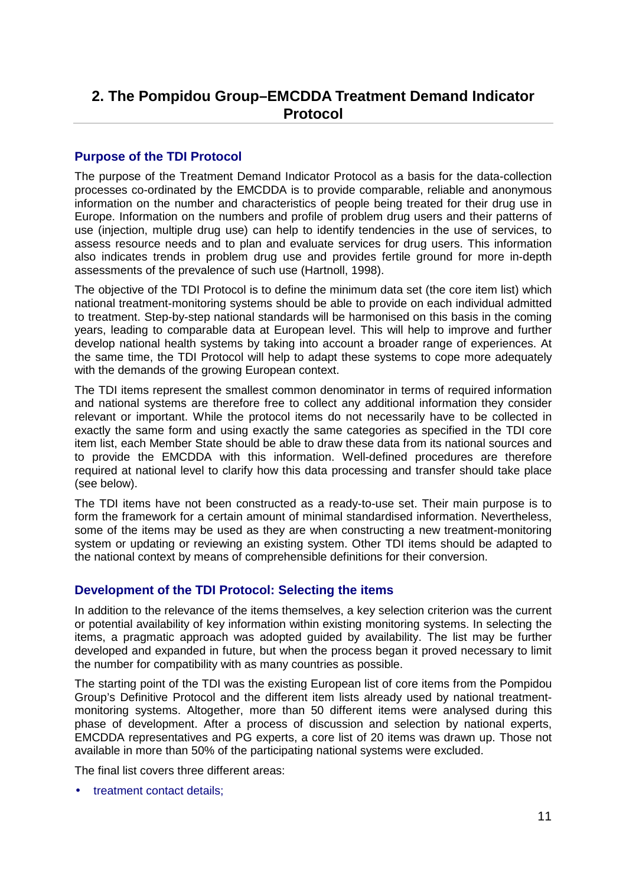## <span id="page-10-0"></span>**2. The Pompidou Group–EMCDDA Treatment Demand Indicator Protocol**

#### **Purpose of the TDI Protocol**

The purpose of the Treatment Demand Indicator Protocol as a basis for the data-collection processes co-ordinated by the EMCDDA is to provide comparable, reliable and anonymous information on the number and characteristics of people being treated for their drug use in Europe. Information on the numbers and profile of problem drug users and their patterns of use (injection, multiple drug use) can help to identify tendencies in the use of services, to assess resource needs and to plan and evaluate services for drug users. This information also indicates trends in problem drug use and provides fertile ground for more in-depth assessments of the prevalence of such use (Hartnoll, 1998).

The objective of the TDI Protocol is to define the minimum data set (the core item list) which national treatment-monitoring systems should be able to provide on each individual admitted to treatment. Step-by-step national standards will be harmonised on this basis in the coming years, leading to comparable data at European level. This will help to improve and further develop national health systems by taking into account a broader range of experiences. At the same time, the TDI Protocol will help to adapt these systems to cope more adequately with the demands of the growing European context.

The TDI items represent the smallest common denominator in terms of required information and national systems are therefore free to collect any additional information they consider relevant or important. While the protocol items do not necessarily have to be collected in exactly the same form and using exactly the same categories as specified in the TDI core item list, each Member State should be able to draw these data from its national sources and to provide the EMCDDA with this information. Well-defined procedures are therefore required at national level to clarify how this data processing and transfer should take place (see below).

The TDI items have not been constructed as a ready-to-use set. Their main purpose is to form the framework for a certain amount of minimal standardised information. Nevertheless, some of the items may be used as they are when constructing a new treatment-monitoring system or updating or reviewing an existing system. Other TDI items should be adapted to the national context by means of comprehensible definitions for their conversion.

### **Development of the TDI Protocol: Selecting the items**

In addition to the relevance of the items themselves, a key selection criterion was the current or potential availability of key information within existing monitoring systems. In selecting the items, a pragmatic approach was adopted guided by availability. The list may be further developed and expanded in future, but when the process began it proved necessary to limit the number for compatibility with as many countries as possible.

The starting point of the TDI was the existing European list of core items from the Pompidou Group's Definitive Protocol and the different item lists already used by national treatmentmonitoring systems. Altogether, more than 50 different items were analysed during this phase of development. After a process of discussion and selection by national experts, EMCDDA representatives and PG experts, a core list of 20 items was drawn up. Those not available in more than 50% of the participating national systems were excluded.

The final list covers three different areas:

• treatment contact details;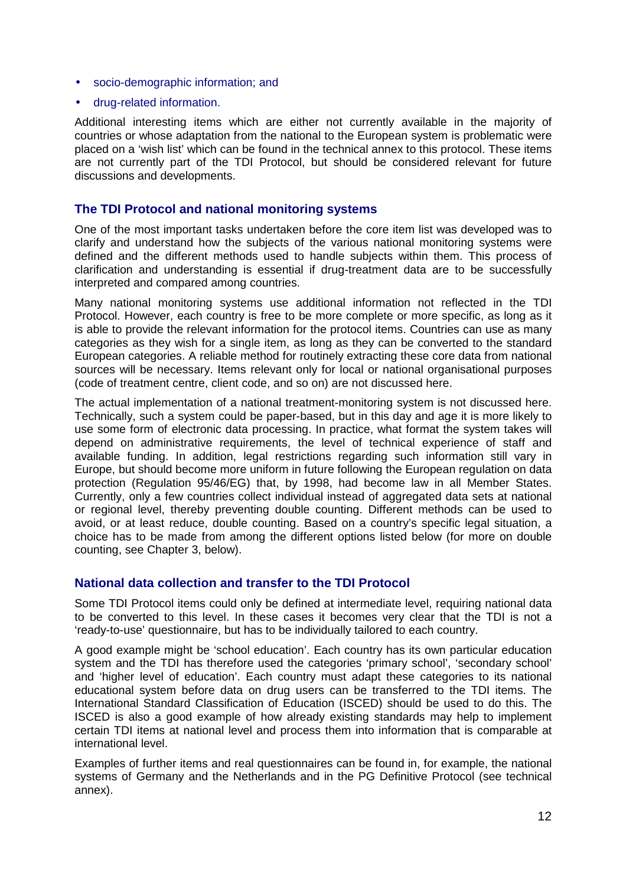- <span id="page-11-0"></span>• socio-demographic information; and
- drug-related information.

Additional interesting items which are either not currently available in the majority of countries or whose adaptation from the national to the European system is problematic were placed on a 'wish list' which can be found in the technical annex to this protocol. These items are not currently part of the TDI Protocol, but should be considered relevant for future discussions and developments.

#### **The TDI Protocol and national monitoring systems**

One of the most important tasks undertaken before the core item list was developed was to clarify and understand how the subjects of the various national monitoring systems were defined and the different methods used to handle subjects within them. This process of clarification and understanding is essential if drug-treatment data are to be successfully interpreted and compared among countries.

Many national monitoring systems use additional information not reflected in the TDI Protocol. However, each country is free to be more complete or more specific, as long as it is able to provide the relevant information for the protocol items. Countries can use as many categories as they wish for a single item, as long as they can be converted to the standard European categories. A reliable method for routinely extracting these core data from national sources will be necessary. Items relevant only for local or national organisational purposes (code of treatment centre, client code, and so on) are not discussed here.

The actual implementation of a national treatment-monitoring system is not discussed here. Technically, such a system could be paper-based, but in this day and age it is more likely to use some form of electronic data processing. In practice, what format the system takes will depend on administrative requirements, the level of technical experience of staff and available funding. In addition, legal restrictions regarding such information still vary in Europe, but should become more uniform in future following the European regulation on data protection (Regulation 95/46/EG) that, by 1998, had become law in all Member States. Currently, only a few countries collect individual instead of aggregated data sets at national or regional level, thereby preventing double counting. Different methods can be used to avoid, or at least reduce, double counting. Based on a country's specific legal situation, a choice has to be made from among the different options listed below (for more on double counting, see Chapter 3, below).

#### **National data collection and transfer to the TDI Protocol**

Some TDI Protocol items could only be defined at intermediate level, requiring national data to be converted to this level. In these cases it becomes very clear that the TDI is not a 'ready-to-use' questionnaire, but has to be individually tailored to each country.

A good example might be 'school education'. Each country has its own particular education system and the TDI has therefore used the categories 'primary school', 'secondary school' and 'higher level of education'. Each country must adapt these categories to its national educational system before data on drug users can be transferred to the TDI items. The International Standard Classification of Education (ISCED) should be used to do this. The ISCED is also a good example of how already existing standards may help to implement certain TDI items at national level and process them into information that is comparable at international level.

Examples of further items and real questionnaires can be found in, for example, the national systems of Germany and the Netherlands and in the PG Definitive Protocol (see technical annex).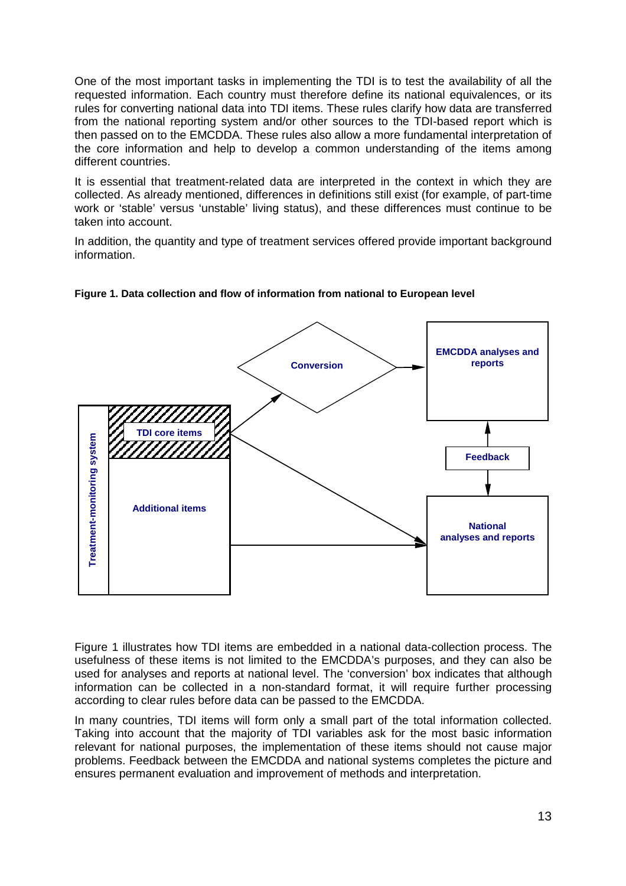One of the most important tasks in implementing the TDI is to test the availability of all the requested information. Each country must therefore define its national equivalences, or its rules for converting national data into TDI items. These rules clarify how data are transferred from the national reporting system and/or other sources to the TDI-based report which is then passed on to the EMCDDA. These rules also allow a more fundamental interpretation of the core information and help to develop a common understanding of the items among different countries.

It is essential that treatment-related data are interpreted in the context in which they are collected. As already mentioned, differences in definitions still exist (for example, of part-time work or 'stable' versus 'unstable' living status), and these differences must continue to be taken into account.

In addition, the quantity and type of treatment services offered provide important background information.





Figure 1 illustrates how TDI items are embedded in a national data-collection process. The usefulness of these items is not limited to the EMCDDA's purposes, and they can also be used for analyses and reports at national level. The 'conversion' box indicates that although information can be collected in a non-standard format, it will require further processing according to clear rules before data can be passed to the EMCDDA.

In many countries, TDI items will form only a small part of the total information collected. Taking into account that the majority of TDI variables ask for the most basic information relevant for national purposes, the implementation of these items should not cause major problems. Feedback between the EMCDDA and national systems completes the picture and ensures permanent evaluation and improvement of methods and interpretation.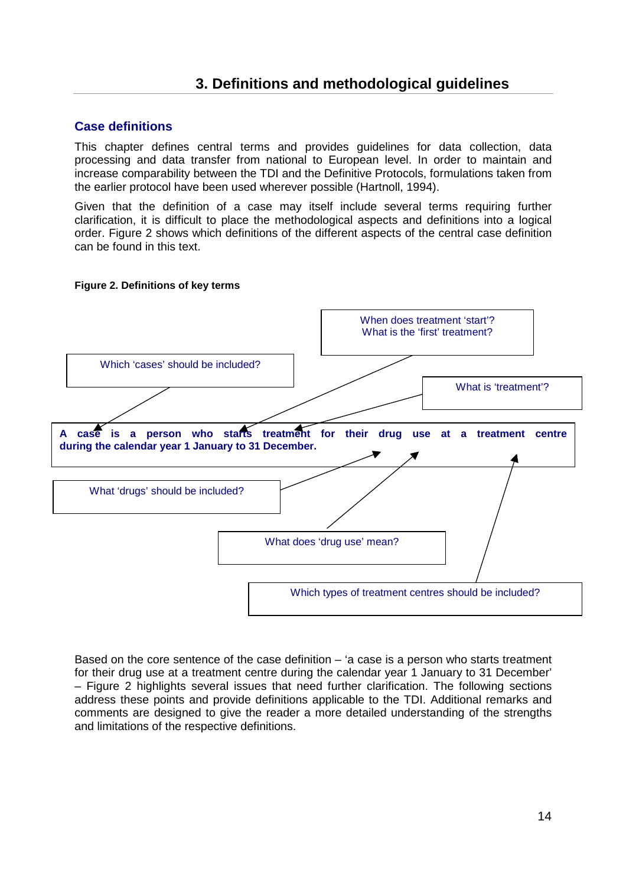### **3. Definitions and methodological guidelines**

#### <span id="page-13-0"></span>**Case definitions**

This chapter defines central terms and provides guidelines for data collection, data processing and data transfer from national to European level. In order to maintain and increase comparability between the TDI and the Definitive Protocols, formulations taken from the earlier protocol have been used wherever possible (Hartnoll, 1994).

Given that the definition of a case may itself include several terms requiring further clarification, it is difficult to place the methodological aspects and definitions into a logical order. Figure 2 shows which definitions of the different aspects of the central case definition can be found in this text.

#### **Figure 2. Definitions of key terms**



Based on the core sentence of the case definition – 'a case is a person who starts treatment for their drug use at a treatment centre during the calendar year 1 January to 31 December' – Figure 2 highlights several issues that need further clarification. The following sections address these points and provide definitions applicable to the TDI. Additional remarks and comments are designed to give the reader a more detailed understanding of the strengths and limitations of the respective definitions.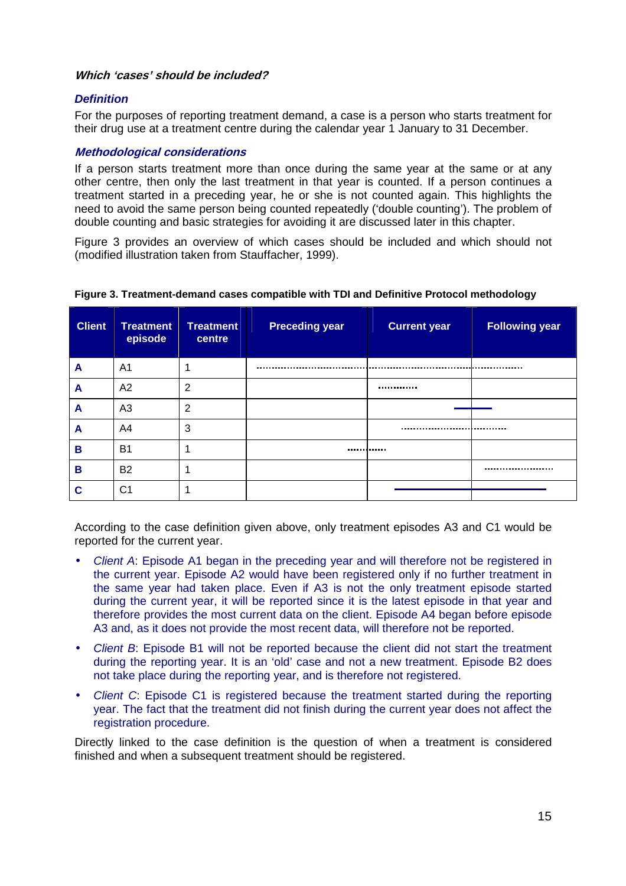#### <span id="page-14-0"></span>**Which 'cases' should be included?**

#### *Definition*

For the purposes of reporting treatment demand, a case is a person who starts treatment for their drug use at a treatment centre during the calendar year 1 January to 31 December.

#### **Methodological considerations**

If a person starts treatment more than once during the same year at the same or at any other centre, then only the last treatment in that year is counted. If a person continues a treatment started in a preceding year, he or she is not counted again. This highlights the need to avoid the same person being counted repeatedly ('double counting'). The problem of double counting and basic strategies for avoiding it are discussed later in this chapter.

Figure 3 provides an overview of which cases should be included and which should not (modified illustration taken from Stauffacher, 1999).

| <b>Client</b> | <b>Treatment</b><br>episode | <b>Treatment</b><br>centre | <b>Preceding year</b> | <b>Current year</b> | <b>Following year</b> |
|---------------|-----------------------------|----------------------------|-----------------------|---------------------|-----------------------|
| A             | A <sub>1</sub>              |                            |                       |                     |                       |
| A             | A2                          | $\overline{2}$             |                       |                     |                       |
| A             | A <sub>3</sub>              | $\overline{2}$             |                       |                     |                       |
| A             | A4                          | 3                          |                       |                     |                       |
| B             | <b>B1</b>                   |                            |                       |                     |                       |
| В             | <b>B2</b>                   |                            |                       |                     |                       |
| C             | C <sub>1</sub>              |                            |                       |                     |                       |

#### **Figure 3. Treatment-demand cases compatible with TDI and Definitive Protocol methodology**

According to the case definition given above, only treatment episodes A3 and C1 would be reported for the current year.

- *Client A*: Episode A1 began in the preceding year and will therefore not be registered in the current year. Episode A2 would have been registered only if no further treatment in the same year had taken place. Even if A3 is not the only treatment episode started during the current year, it will be reported since it is the latest episode in that year and therefore provides the most current data on the client. Episode A4 began before episode A3 and, as it does not provide the most recent data, will therefore not be reported.
- *Client B*: Episode B1 will not be reported because the client did not start the treatment during the reporting year. It is an 'old' case and not a new treatment. Episode B2 does not take place during the reporting year, and is therefore not registered.
- *Client C*: Episode C1 is registered because the treatment started during the reporting year. The fact that the treatment did not finish during the current year does not affect the registration procedure.

Directly linked to the case definition is the question of when a treatment is considered finished and when a subsequent treatment should be registered.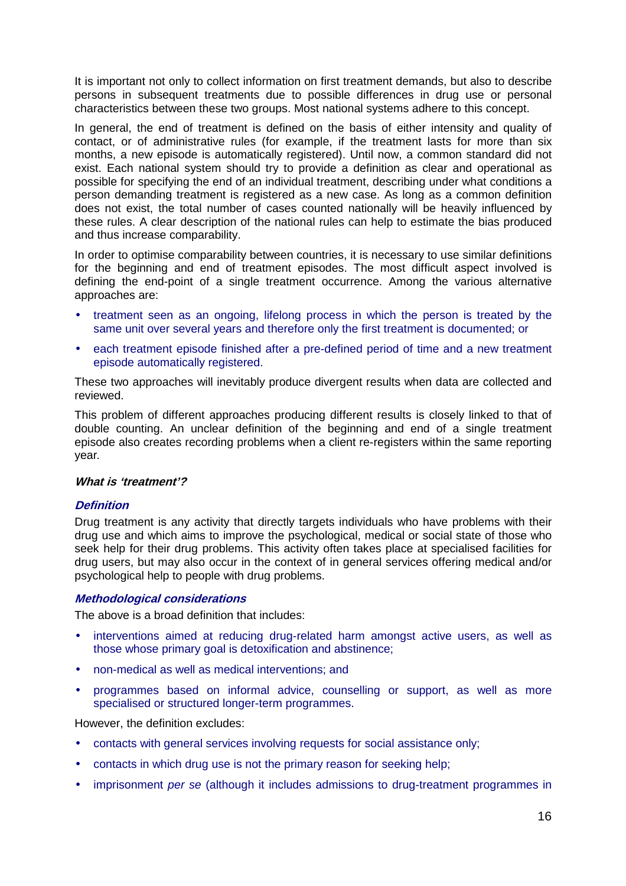<span id="page-15-0"></span>It is important not only to collect information on first treatment demands, but also to describe persons in subsequent treatments due to possible differences in drug use or personal characteristics between these two groups. Most national systems adhere to this concept.

In general, the end of treatment is defined on the basis of either intensity and quality of contact, or of administrative rules (for example, if the treatment lasts for more than six months, a new episode is automatically registered). Until now, a common standard did not exist. Each national system should try to provide a definition as clear and operational as possible for specifying the end of an individual treatment, describing under what conditions a person demanding treatment is registered as a new case. As long as a common definition does not exist, the total number of cases counted nationally will be heavily influenced by these rules. A clear description of the national rules can help to estimate the bias produced and thus increase comparability.

In order to optimise comparability between countries, it is necessary to use similar definitions for the beginning and end of treatment episodes. The most difficult aspect involved is defining the end-point of a single treatment occurrence. Among the various alternative approaches are:

- treatment seen as an ongoing, lifelong process in which the person is treated by the same unit over several years and therefore only the first treatment is documented; or
- each treatment episode finished after a pre-defined period of time and a new treatment episode automatically registered.

These two approaches will inevitably produce divergent results when data are collected and reviewed.

This problem of different approaches producing different results is closely linked to that of double counting. An unclear definition of the beginning and end of a single treatment episode also creates recording problems when a client re-registers within the same reporting year*.* 

#### **What is 'treatment'?**

#### **Definition**

Drug treatment is any activity that directly targets individuals who have problems with their drug use and which aims to improve the psychological, medical or social state of those who seek help for their drug problems. This activity often takes place at specialised facilities for drug users, but may also occur in the context of in general services offering medical and/or psychological help to people with drug problems.

#### **Methodological considerations**

The above is a broad definition that includes:

- interventions aimed at reducing drug-related harm amongst active users, as well as those whose primary goal is detoxification and abstinence;
- non-medical as well as medical interventions; and
- programmes based on informal advice, counselling or support, as well as more specialised or structured longer-term programmes.

However, the definition excludes:

- contacts with general services involving requests for social assistance only;
- contacts in which drug use is not the primary reason for seeking help;
- imprisonment *per se* (although it includes admissions to drug-treatment programmes in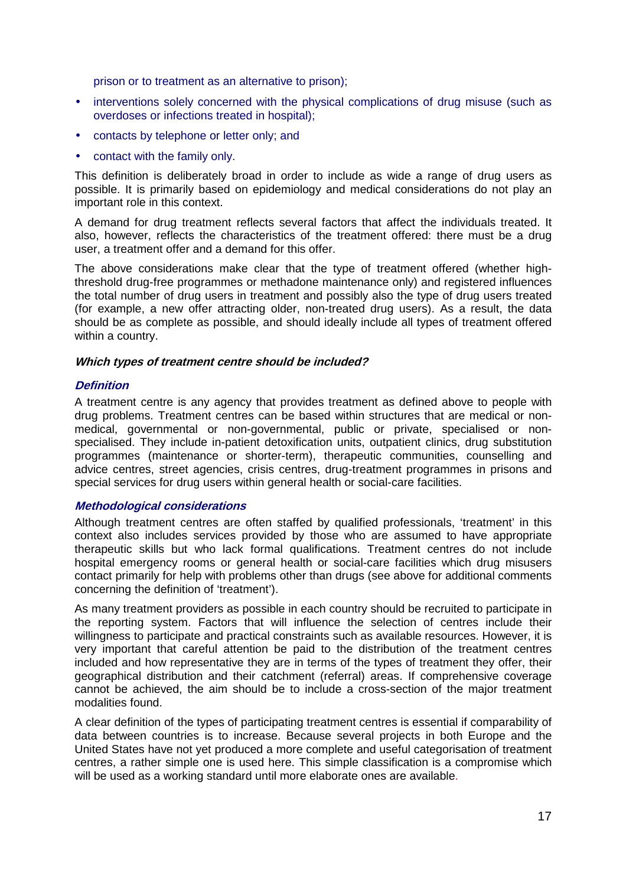<span id="page-16-0"></span>prison or to treatment as an alternative to prison);

- interventions solely concerned with the physical complications of drug misuse (such as overdoses or infections treated in hospital);
- contacts by telephone or letter only; and
- contact with the family only.

This definition is deliberately broad in order to include as wide a range of drug users as possible. It is primarily based on epidemiology and medical considerations do not play an important role in this context.

A demand for drug treatment reflects several factors that affect the individuals treated. It also, however, reflects the characteristics of the treatment offered: there must be a drug user, a treatment offer and a demand for this offer.

The above considerations make clear that the type of treatment offered (whether highthreshold drug-free programmes or methadone maintenance only) and registered influences the total number of drug users in treatment and possibly also the type of drug users treated (for example, a new offer attracting older, non-treated drug users). As a result, the data should be as complete as possible, and should ideally include all types of treatment offered within a country.

#### **Which types of treatment centre should be included?**

#### **Definition**

A treatment centre is any agency that provides treatment as defined above to people with drug problems. Treatment centres can be based within structures that are medical or nonmedical, governmental or non-governmental, public or private, specialised or nonspecialised. They include in-patient detoxification units, outpatient clinics, drug substitution programmes (maintenance or shorter-term), therapeutic communities, counselling and advice centres, street agencies, crisis centres, drug-treatment programmes in prisons and special services for drug users within general health or social-care facilities.

#### **Methodological considerations**

Although treatment centres are often staffed by qualified professionals, 'treatment' in this context also includes services provided by those who are assumed to have appropriate therapeutic skills but who lack formal qualifications. Treatment centres do not include hospital emergency rooms or general health or social-care facilities which drug misusers contact primarily for help with problems other than drugs (see above for additional comments concerning the definition of 'treatment').

As many treatment providers as possible in each country should be recruited to participate in the reporting system. Factors that will influence the selection of centres include their willingness to participate and practical constraints such as available resources. However, it is very important that careful attention be paid to the distribution of the treatment centres included and how representative they are in terms of the types of treatment they offer, their geographical distribution and their catchment (referral) areas. If comprehensive coverage cannot be achieved, the aim should be to include a cross-section of the major treatment modalities found.

A clear definition of the types of participating treatment centres is essential if comparability of data between countries is to increase. Because several projects in both Europe and the United States have not yet produced a more complete and useful categorisation of treatment centres, a rather simple one is used here. This simple classification is a compromise which will be used as a working standard until more elaborate ones are available.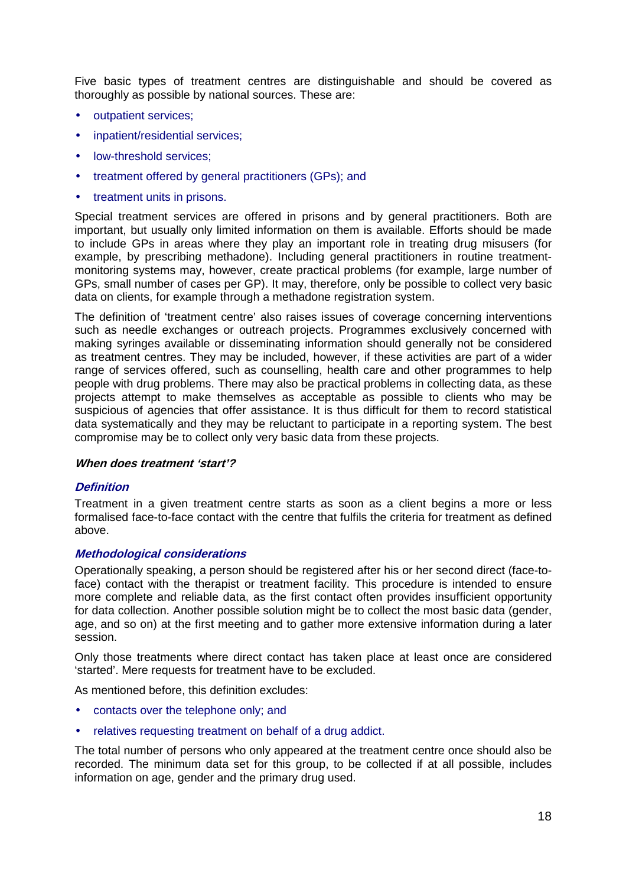<span id="page-17-0"></span>Five basic types of treatment centres are distinguishable and should be covered as thoroughly as possible by national sources. These are:

- outpatient services;
- inpatient/residential services;
- low-threshold services;
- treatment offered by general practitioners (GPs); and
- treatment units in prisons.

Special treatment services are offered in prisons and by general practitioners. Both are important, but usually only limited information on them is available. Efforts should be made to include GPs in areas where they play an important role in treating drug misusers (for example, by prescribing methadone). Including general practitioners in routine treatmentmonitoring systems may, however, create practical problems (for example, large number of GPs, small number of cases per GP). It may, therefore, only be possible to collect very basic data on clients, for example through a methadone registration system.

The definition of 'treatment centre' also raises issues of coverage concerning interventions such as needle exchanges or outreach projects. Programmes exclusively concerned with making syringes available or disseminating information should generally not be considered as treatment centres. They may be included, however, if these activities are part of a wider range of services offered, such as counselling, health care and other programmes to help people with drug problems. There may also be practical problems in collecting data, as these projects attempt to make themselves as acceptable as possible to clients who may be suspicious of agencies that offer assistance. It is thus difficult for them to record statistical data systematically and they may be reluctant to participate in a reporting system. The best compromise may be to collect only very basic data from these projects.

#### **When does treatment 'start'?**

#### **Definition**

Treatment in a given treatment centre starts as soon as a client begins a more or less formalised face-to-face contact with the centre that fulfils the criteria for treatment as defined above.

#### **Methodological considerations**

Operationally speaking, a person should be registered after his or her second direct (face-toface) contact with the therapist or treatment facility. This procedure is intended to ensure more complete and reliable data, as the first contact often provides insufficient opportunity for data collection. Another possible solution might be to collect the most basic data (gender, age, and so on) at the first meeting and to gather more extensive information during a later session.

Only those treatments where direct contact has taken place at least once are considered 'started'. Mere requests for treatment have to be excluded.

As mentioned before, this definition excludes:

- contacts over the telephone only; and
- relatives requesting treatment on behalf of a drug addict.

The total number of persons who only appeared at the treatment centre once should also be recorded. The minimum data set for this group, to be collected if at all possible, includes information on age, gender and the primary drug used.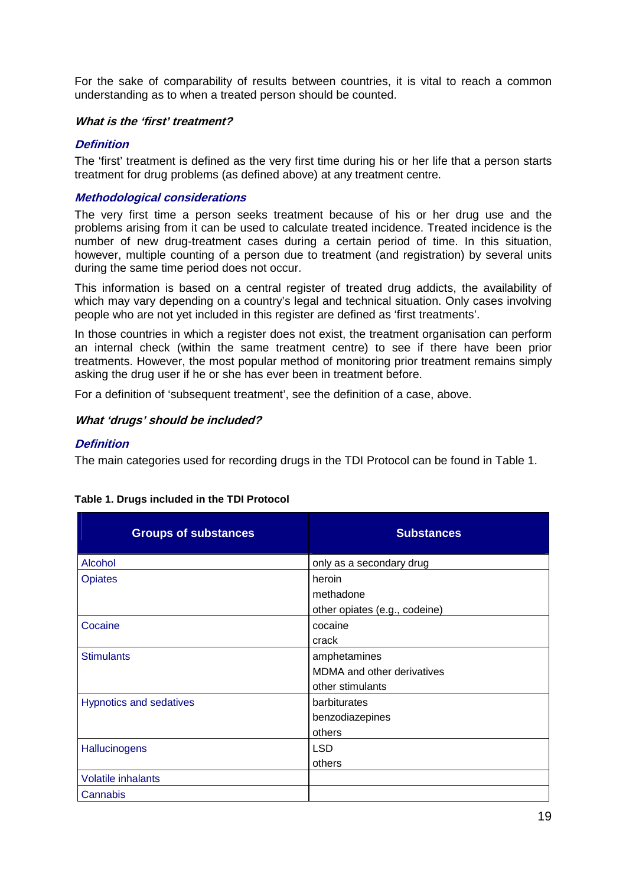<span id="page-18-0"></span>For the sake of comparability of results between countries, it is vital to reach a common understanding as to when a treated person should be counted.

#### **What is the 'first' treatment?**

#### **Definition**

The 'first' treatment is defined as the very first time during his or her life that a person starts treatment for drug problems (as defined above) at any treatment centre.

#### **Methodological considerations**

The very first time a person seeks treatment because of his or her drug use and the problems arising from it can be used to calculate treated incidence. Treated incidence is the number of new drug-treatment cases during a certain period of time. In this situation, however, multiple counting of a person due to treatment (and registration) by several units during the same time period does not occur.

This information is based on a central register of treated drug addicts, the availability of which may vary depending on a country's legal and technical situation. Only cases involving people who are not yet included in this register are defined as 'first treatments'.

In those countries in which a register does not exist, the treatment organisation can perform an internal check (within the same treatment centre) to see if there have been prior treatments. However, the most popular method of monitoring prior treatment remains simply asking the drug user if he or she has ever been in treatment before.

For a definition of 'subsequent treatment', see the definition of a case, above.

#### **What 'drugs' should be included?**

#### **Definition**

The main categories used for recording drugs in the TDI Protocol can be found in Table 1.

| <b>Groups of substances</b>    | <b>Substances</b>                 |
|--------------------------------|-----------------------------------|
| Alcohol                        | only as a secondary drug          |
| <b>Opiates</b>                 | heroin                            |
|                                | methadone                         |
|                                | other opiates (e.g., codeine)     |
| Cocaine                        | cocaine                           |
|                                | crack                             |
| <b>Stimulants</b>              | amphetamines                      |
|                                | <b>MDMA</b> and other derivatives |
|                                | other stimulants                  |
| <b>Hypnotics and sedatives</b> | barbiturates                      |
|                                | benzodiazepines                   |
|                                | others                            |
| Hallucinogens                  | <b>LSD</b>                        |
|                                | others                            |
| <b>Volatile inhalants</b>      |                                   |
| Cannabis                       |                                   |

#### **Table 1. Drugs included in the TDI Protocol**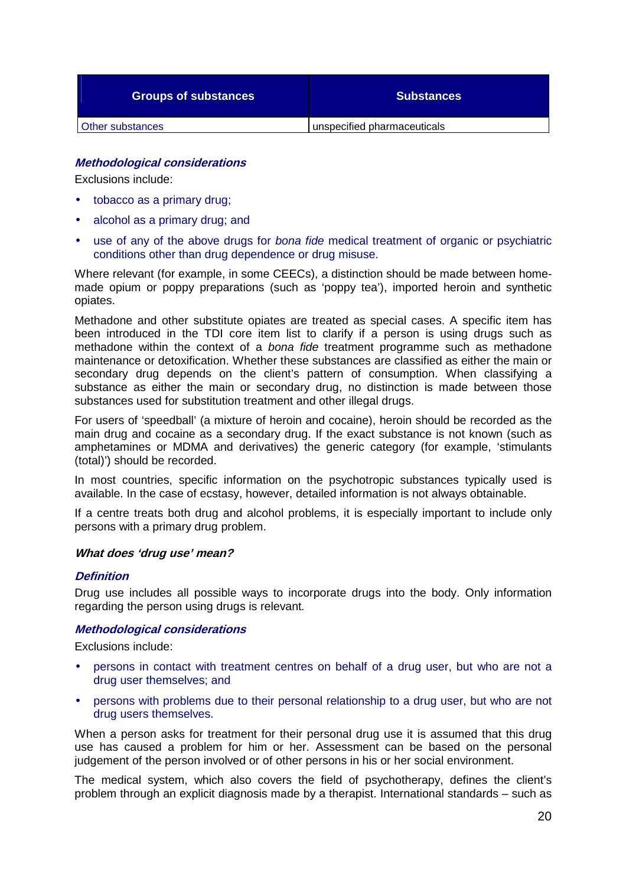<span id="page-19-0"></span>

| <b>Groups of substances</b> | <b>Substances</b>           |
|-----------------------------|-----------------------------|
| Other substances            | unspecified pharmaceuticals |

#### **Methodological considerations**

Exclusions include:

- tobacco as a primary drug;
- alcohol as a primary drug; and
- use of any of the above drugs for *bona fide* medical treatment of organic or psychiatric conditions other than drug dependence or drug misuse.

Where relevant (for example, in some CEECs), a distinction should be made between homemade opium or poppy preparations (such as 'poppy tea'), imported heroin and synthetic opiates.

Methadone and other substitute opiates are treated as special cases. A specific item has been introduced in the TDI core item list to clarify if a person is using drugs such as methadone within the context of a *bona fide* treatment programme such as methadone maintenance or detoxification. Whether these substances are classified as either the main or secondary drug depends on the client's pattern of consumption. When classifying a substance as either the main or secondary drug, no distinction is made between those substances used for substitution treatment and other illegal drugs.

For users of 'speedball' (a mixture of heroin and cocaine), heroin should be recorded as the main drug and cocaine as a secondary drug. If the exact substance is not known (such as amphetamines or MDMA and derivatives) the generic category (for example, 'stimulants (total)') should be recorded.

In most countries, specific information on the psychotropic substances typically used is available. In the case of ecstasy, however, detailed information is not always obtainable.

If a centre treats both drug and alcohol problems, it is especially important to include only persons with a primary drug problem.

#### **What does 'drug use' mean?**

#### **Definition**

Drug use includes all possible ways to incorporate drugs into the body. Only information regarding the person using drugs is relevant*.*

#### **Methodological considerations**

Exclusions include:

- persons in contact with treatment centres on behalf of a drug user, but who are not a drug user themselves; and
- persons with problems due to their personal relationship to a drug user, but who are not drug users themselves.

When a person asks for treatment for their personal drug use it is assumed that this drug use has caused a problem for him or her. Assessment can be based on the personal judgement of the person involved or of other persons in his or her social environment.

The medical system, which also covers the field of psychotherapy, defines the client's problem through an explicit diagnosis made by a therapist. International standards – such as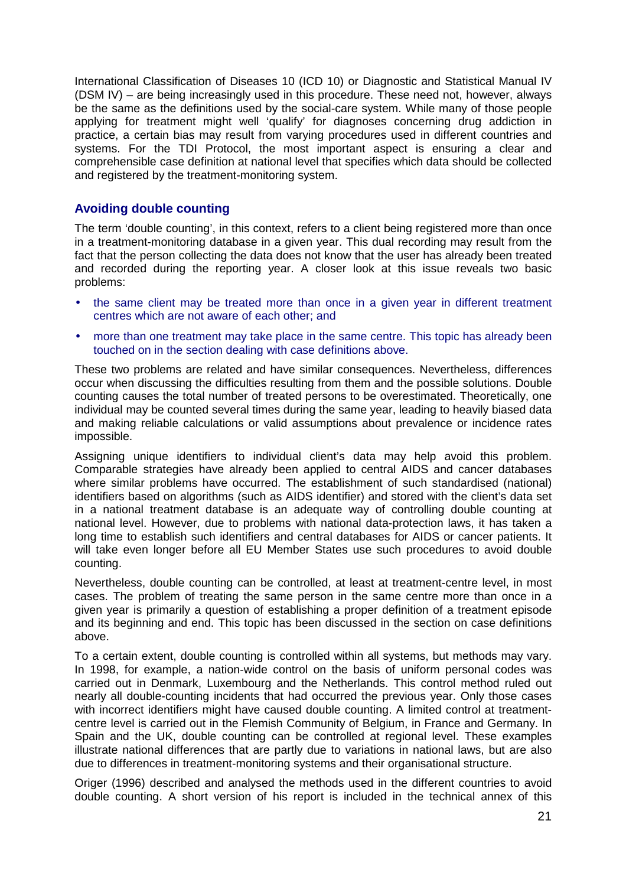<span id="page-20-0"></span>International Classification of Diseases 10 (ICD 10) or Diagnostic and Statistical Manual IV (DSM IV) – are being increasingly used in this procedure. These need not, however, always be the same as the definitions used by the social-care system. While many of those people applying for treatment might well 'qualify' for diagnoses concerning drug addiction in practice, a certain bias may result from varying procedures used in different countries and systems. For the TDI Protocol, the most important aspect is ensuring a clear and comprehensible case definition at national level that specifies which data should be collected and registered by the treatment-monitoring system.

#### **Avoiding double counting**

The term 'double counting', in this context, refers to a client being registered more than once in a treatment-monitoring database in a given year. This dual recording may result from the fact that the person collecting the data does not know that the user has already been treated and recorded during the reporting year. A closer look at this issue reveals two basic problems:

- the same client may be treated more than once in a given year in different treatment centres which are not aware of each other; and
- more than one treatment may take place in the same centre. This topic has already been touched on in the section dealing with case definitions above.

These two problems are related and have similar consequences. Nevertheless, differences occur when discussing the difficulties resulting from them and the possible solutions. Double counting causes the total number of treated persons to be overestimated. Theoretically, one individual may be counted several times during the same year, leading to heavily biased data and making reliable calculations or valid assumptions about prevalence or incidence rates impossible.

Assigning unique identifiers to individual client's data may help avoid this problem. Comparable strategies have already been applied to central AIDS and cancer databases where similar problems have occurred. The establishment of such standardised (national) identifiers based on algorithms (such as AIDS identifier) and stored with the client's data set in a national treatment database is an adequate way of controlling double counting at national level. However, due to problems with national data-protection laws, it has taken a long time to establish such identifiers and central databases for AIDS or cancer patients. It will take even longer before all EU Member States use such procedures to avoid double counting.

Nevertheless, double counting can be controlled, at least at treatment-centre level, in most cases. The problem of treating the same person in the same centre more than once in a given year is primarily a question of establishing a proper definition of a treatment episode and its beginning and end. This topic has been discussed in the section on case definitions above.

To a certain extent, double counting is controlled within all systems, but methods may vary. In 1998, for example, a nation-wide control on the basis of uniform personal codes was carried out in Denmark, Luxembourg and the Netherlands. This control method ruled out nearly all double-counting incidents that had occurred the previous year. Only those cases with incorrect identifiers might have caused double counting. A limited control at treatmentcentre level is carried out in the Flemish Community of Belgium, in France and Germany. In Spain and the UK, double counting can be controlled at regional level. These examples illustrate national differences that are partly due to variations in national laws, but are also due to differences in treatment-monitoring systems and their organisational structure.

Origer (1996) described and analysed the methods used in the different countries to avoid double counting. A short version of his report is included in the technical annex of this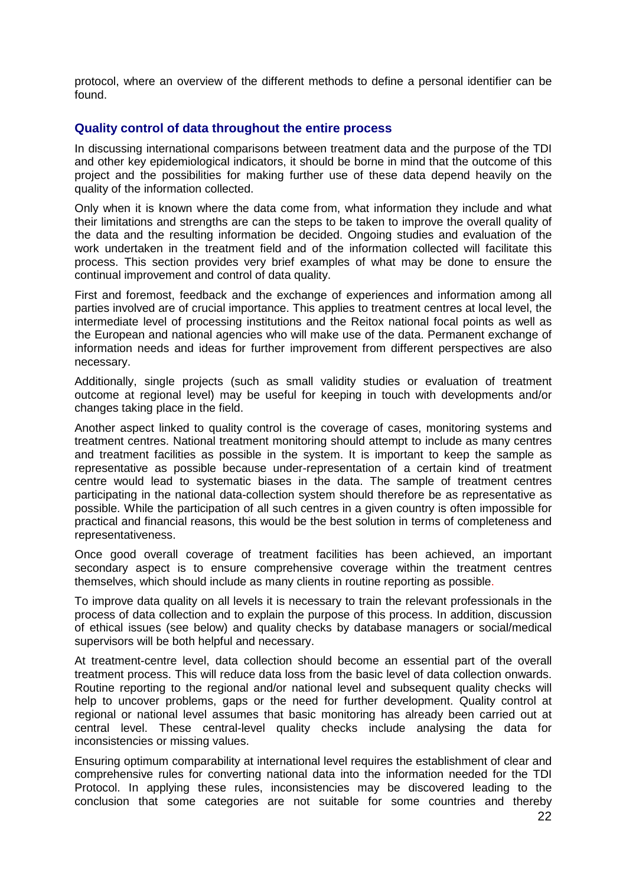<span id="page-21-0"></span>protocol, where an overview of the different methods to define a personal identifier can be found.

#### **Quality control of data throughout the entire process**

In discussing international comparisons between treatment data and the purpose of the TDI and other key epidemiological indicators, it should be borne in mind that the outcome of this project and the possibilities for making further use of these data depend heavily on the quality of the information collected.

Only when it is known where the data come from, what information they include and what their limitations and strengths are can the steps to be taken to improve the overall quality of the data and the resulting information be decided. Ongoing studies and evaluation of the work undertaken in the treatment field and of the information collected will facilitate this process. This section provides very brief examples of what may be done to ensure the continual improvement and control of data quality.

First and foremost, feedback and the exchange of experiences and information among all parties involved are of crucial importance. This applies to treatment centres at local level, the intermediate level of processing institutions and the Reitox national focal points as well as the European and national agencies who will make use of the data. Permanent exchange of information needs and ideas for further improvement from different perspectives are also necessary.

Additionally, single projects (such as small validity studies or evaluation of treatment outcome at regional level) may be useful for keeping in touch with developments and/or changes taking place in the field.

Another aspect linked to quality control is the coverage of cases, monitoring systems and treatment centres. National treatment monitoring should attempt to include as many centres and treatment facilities as possible in the system. It is important to keep the sample as representative as possible because under-representation of a certain kind of treatment centre would lead to systematic biases in the data. The sample of treatment centres participating in the national data-collection system should therefore be as representative as possible. While the participation of all such centres in a given country is often impossible for practical and financial reasons, this would be the best solution in terms of completeness and representativeness.

Once good overall coverage of treatment facilities has been achieved, an important secondary aspect is to ensure comprehensive coverage within the treatment centres themselves, which should include as many clients in routine reporting as possible.

To improve data quality on all levels it is necessary to train the relevant professionals in the process of data collection and to explain the purpose of this process. In addition, discussion of ethical issues (see below) and quality checks by database managers or social/medical supervisors will be both helpful and necessary.

At treatment-centre level, data collection should become an essential part of the overall treatment process. This will reduce data loss from the basic level of data collection onwards. Routine reporting to the regional and/or national level and subsequent quality checks will help to uncover problems, gaps or the need for further development. Quality control at regional or national level assumes that basic monitoring has already been carried out at central level. These central-level quality checks include analysing the data for inconsistencies or missing values.

Ensuring optimum comparability at international level requires the establishment of clear and comprehensive rules for converting national data into the information needed for the TDI Protocol. In applying these rules, inconsistencies may be discovered leading to the conclusion that some categories are not suitable for some countries and thereby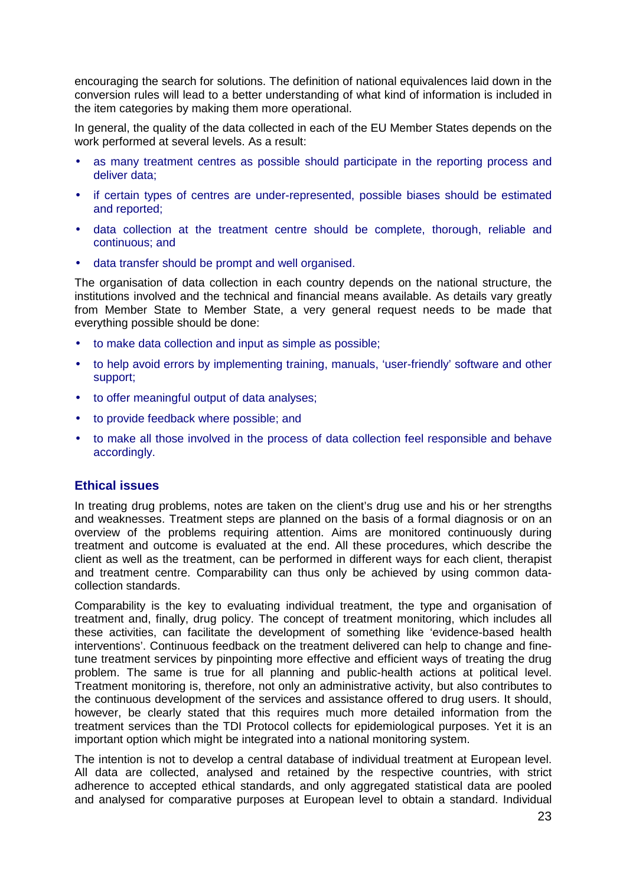<span id="page-22-0"></span>encouraging the search for solutions. The definition of national equivalences laid down in the conversion rules will lead to a better understanding of what kind of information is included in the item categories by making them more operational.

In general, the quality of the data collected in each of the EU Member States depends on the work performed at several levels. As a result:

- as many treatment centres as possible should participate in the reporting process and deliver data;
- if certain types of centres are under-represented, possible biases should be estimated and reported;
- data collection at the treatment centre should be complete, thorough, reliable and continuous; and
- data transfer should be prompt and well organised.

The organisation of data collection in each country depends on the national structure, the institutions involved and the technical and financial means available. As details vary greatly from Member State to Member State, a very general request needs to be made that everything possible should be done:

- to make data collection and input as simple as possible;
- to help avoid errors by implementing training, manuals, 'user-friendly' software and other support;
- to offer meaningful output of data analyses;
- to provide feedback where possible; and
- to make all those involved in the process of data collection feel responsible and behave accordingly.

#### **Ethical issues**

In treating drug problems, notes are taken on the client's drug use and his or her strengths and weaknesses. Treatment steps are planned on the basis of a formal diagnosis or on an overview of the problems requiring attention. Aims are monitored continuously during treatment and outcome is evaluated at the end. All these procedures, which describe the client as well as the treatment, can be performed in different ways for each client, therapist and treatment centre. Comparability can thus only be achieved by using common datacollection standards.

Comparability is the key to evaluating individual treatment, the type and organisation of treatment and, finally, drug policy. The concept of treatment monitoring, which includes all these activities, can facilitate the development of something like 'evidence-based health interventions'. Continuous feedback on the treatment delivered can help to change and finetune treatment services by pinpointing more effective and efficient ways of treating the drug problem. The same is true for all planning and public-health actions at political level. Treatment monitoring is, therefore, not only an administrative activity, but also contributes to the continuous development of the services and assistance offered to drug users. It should, however, be clearly stated that this requires much more detailed information from the treatment services than the TDI Protocol collects for epidemiological purposes. Yet it is an important option which might be integrated into a national monitoring system.

The intention is not to develop a central database of individual treatment at European level. All data are collected, analysed and retained by the respective countries, with strict adherence to accepted ethical standards, and only aggregated statistical data are pooled and analysed for comparative purposes at European level to obtain a standard. Individual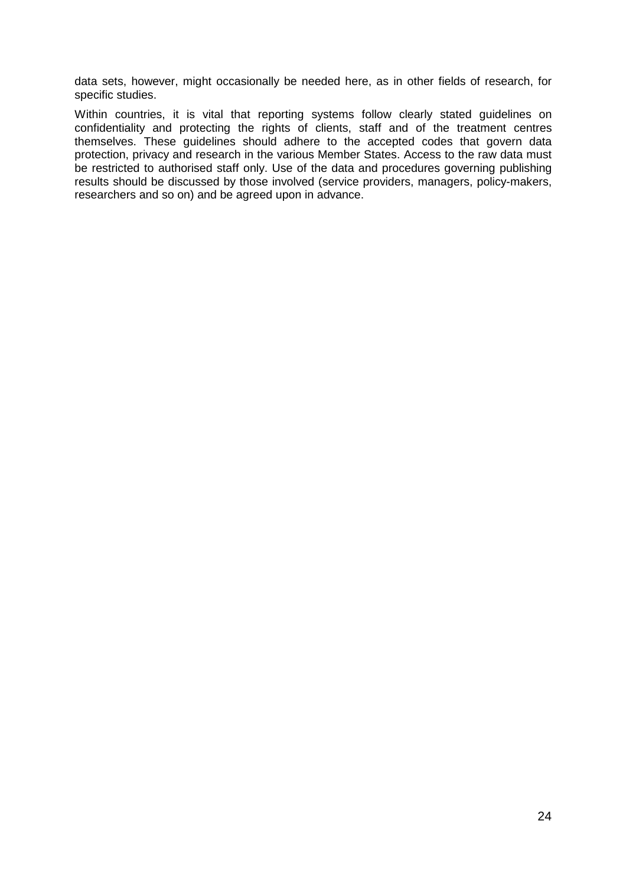data sets, however, might occasionally be needed here, as in other fields of research, for specific studies.

Within countries, it is vital that reporting systems follow clearly stated guidelines on confidentiality and protecting the rights of clients, staff and of the treatment centres themselves. These guidelines should adhere to the accepted codes that govern data protection, privacy and research in the various Member States. Access to the raw data must be restricted to authorised staff only. Use of the data and procedures governing publishing results should be discussed by those involved (service providers, managers, policy-makers, researchers and so on) and be agreed upon in advance.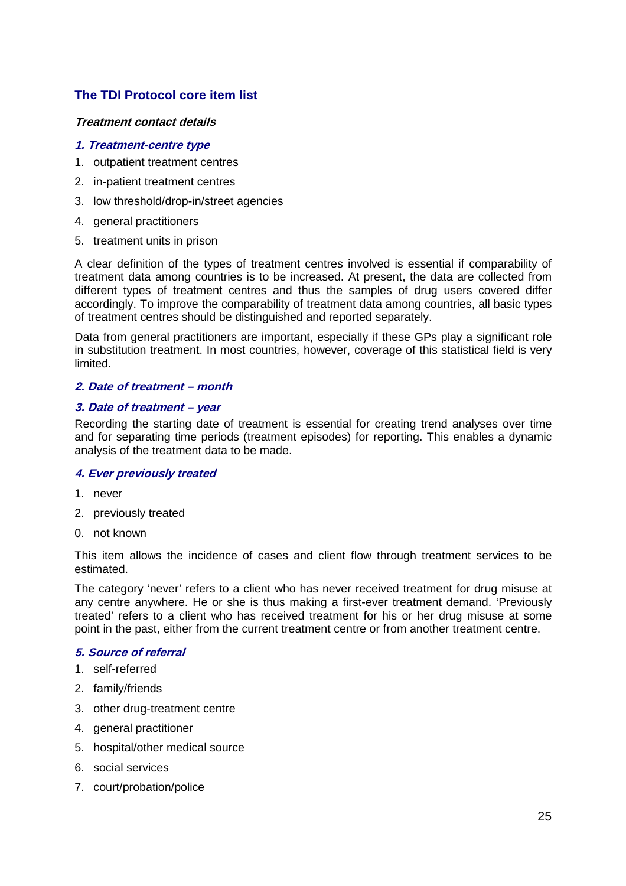### <span id="page-24-0"></span>**The TDI Protocol core item list**

#### **Treatment contact details**

#### **1. Treatment-centre type**

- 1. outpatient treatment centres
- 2. in-patient treatment centres
- 3. low threshold/drop-in/street agencies
- 4. general practitioners
- 5. treatment units in prison

A clear definition of the types of treatment centres involved is essential if comparability of treatment data among countries is to be increased. At present, the data are collected from different types of treatment centres and thus the samples of drug users covered differ accordingly. To improve the comparability of treatment data among countries, all basic types of treatment centres should be distinguished and reported separately.

Data from general practitioners are important, especially if these GPs play a significant role in substitution treatment. In most countries, however, coverage of this statistical field is very limited.

#### **2. Date of treatment – month**

#### **3. Date of treatment – year**

Recording the starting date of treatment is essential for creating trend analyses over time and for separating time periods (treatment episodes) for reporting. This enables a dynamic analysis of the treatment data to be made.

#### **4. Ever previously treated**

- 1. never
- 2. previously treated
- 0. not known

This item allows the incidence of cases and client flow through treatment services to be estimated.

The category 'never' refers to a client who has never received treatment for drug misuse at any centre anywhere. He or she is thus making a first-ever treatment demand. 'Previously treated' refers to a client who has received treatment for his or her drug misuse at some point in the past, either from the current treatment centre or from another treatment centre.

#### **5. Source of referral**

- 1. self-referred
- 2. family/friends
- 3. other drug-treatment centre
- 4. general practitioner
- 5. hospital/other medical source
- 6. social services
- 7. court/probation/police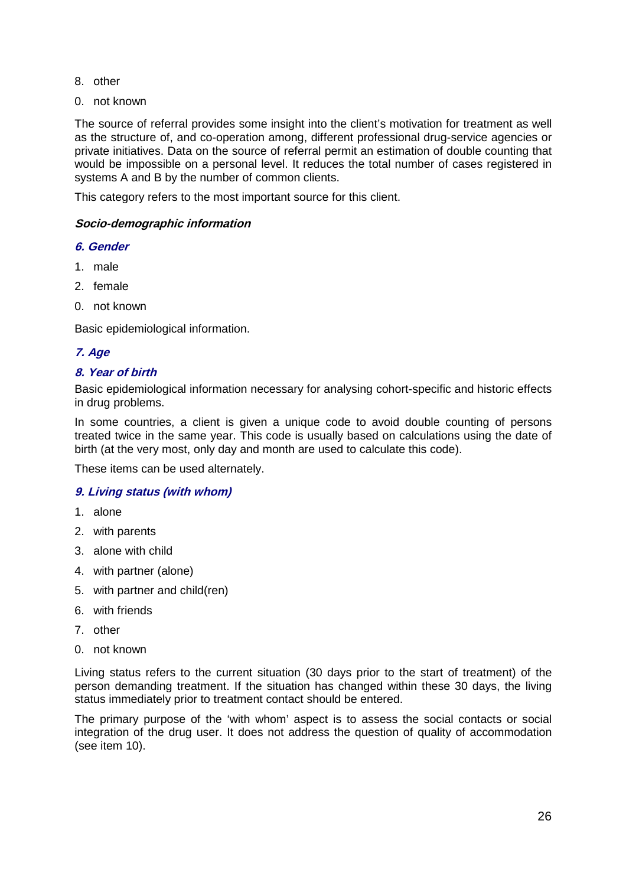- <span id="page-25-0"></span>8. other
- 0. not known

The source of referral provides some insight into the client's motivation for treatment as well as the structure of, and co-operation among, different professional drug-service agencies or private initiatives. Data on the source of referral permit an estimation of double counting that would be impossible on a personal level. It reduces the total number of cases registered in systems A and B by the number of common clients.

This category refers to the most important source for this client.

#### **Socio-demographic information**

#### **6. Gender**

- 1. male
- 2. female
- 0. not known

Basic epidemiological information.

#### **7. Age**

#### **8. Year of birth**

Basic epidemiological information necessary for analysing cohort-specific and historic effects in drug problems.

In some countries, a client is given a unique code to avoid double counting of persons treated twice in the same year. This code is usually based on calculations using the date of birth (at the very most, only day and month are used to calculate this code).

These items can be used alternately.

#### **9. Living status (with whom)**

- 1. alone
- 2. with parents
- 3. alone with child
- 4. with partner (alone)
- 5. with partner and child(ren)
- 6. with friends
- 7. other
- 0. not known

Living status refers to the current situation (30 days prior to the start of treatment) of the person demanding treatment. If the situation has changed within these 30 days, the living status immediately prior to treatment contact should be entered.

The primary purpose of the 'with whom' aspect is to assess the social contacts or social integration of the drug user. It does not address the question of quality of accommodation (see item 10).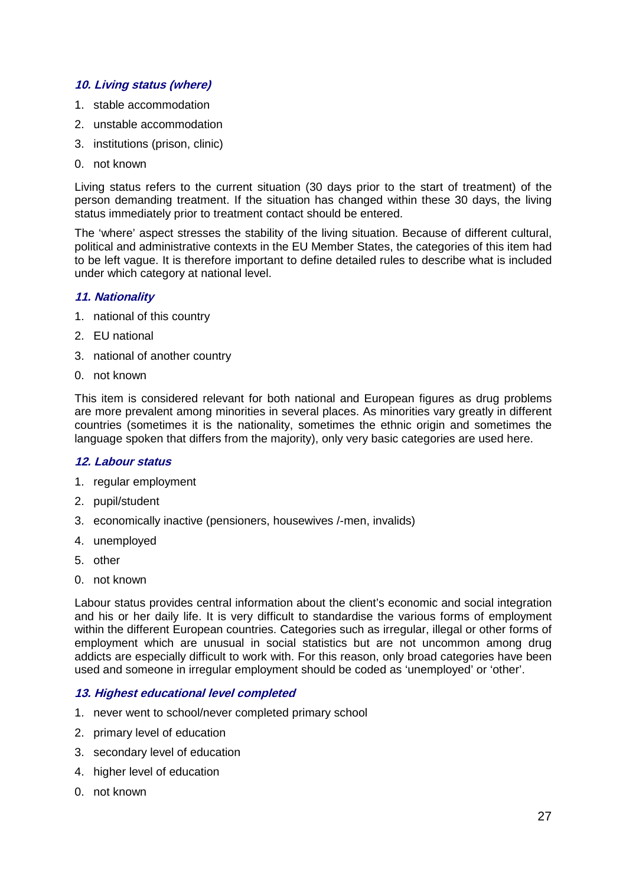#### **10. Living status (where)**

- 1. stable accommodation
- 2. unstable accommodation
- 3. institutions (prison, clinic)
- 0. not known

Living status refers to the current situation (30 days prior to the start of treatment) of the person demanding treatment. If the situation has changed within these 30 days, the living status immediately prior to treatment contact should be entered.

The 'where' aspect stresses the stability of the living situation. Because of different cultural, political and administrative contexts in the EU Member States, the categories of this item had to be left vague. It is therefore important to define detailed rules to describe what is included under which category at national level.

#### **11. Nationality**

- 1. national of this country
- 2. EU national
- 3. national of another country
- 0. not known

This item is considered relevant for both national and European figures as drug problems are more prevalent among minorities in several places. As minorities vary greatly in different countries (sometimes it is the nationality, sometimes the ethnic origin and sometimes the language spoken that differs from the majority), only very basic categories are used here.

#### **12. Labour status**

- 1. regular employment
- 2. pupil/student
- 3. economically inactive (pensioners, housewives /-men, invalids)
- 4. unemployed
- 5. other
- 0. not known

Labour status provides central information about the client's economic and social integration and his or her daily life. It is very difficult to standardise the various forms of employment within the different European countries. Categories such as irregular, illegal or other forms of employment which are unusual in social statistics but are not uncommon among drug addicts are especially difficult to work with. For this reason, only broad categories have been used and someone in irregular employment should be coded as 'unemployed' or 'other'.

#### **13. Highest educational level completed**

- 1. never went to school/never completed primary school
- 2. primary level of education
- 3. secondary level of education
- 4. higher level of education
- 0. not known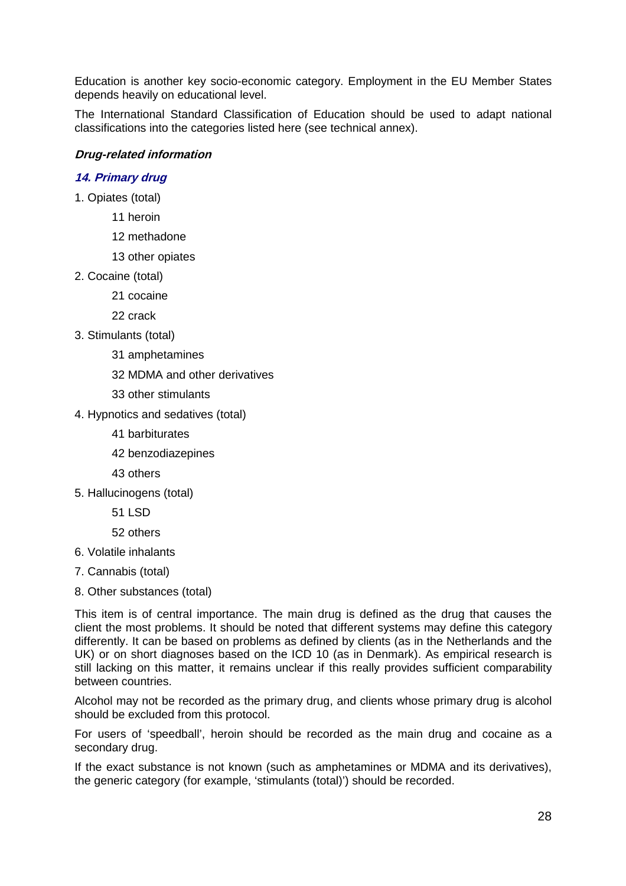<span id="page-27-0"></span>Education is another key socio-economic category. Employment in the EU Member States depends heavily on educational level.

The International Standard Classification of Education should be used to adapt national classifications into the categories listed here (see technical annex).

#### **Drug-related information**

#### **14. Primary drug**

- 1. Opiates (total)
	- 11 heroin
	- 12 methadone
	- 13 other opiates
- 2. Cocaine (total)
	- 21 cocaine
	- 22 crack
- 3. Stimulants (total)
	- 31 amphetamines
	- 32 MDMA and other derivatives
	- 33 other stimulants
- 4. Hypnotics and sedatives (total)
	- 41 barbiturates
	- 42 benzodiazepines
	- 43 others
- 5. Hallucinogens (total)
	- 51 LSD

#### 52 others

- 6. Volatile inhalants
- 7. Cannabis (total)
- 8. Other substances (total)

This item is of central importance. The main drug is defined as the drug that causes the client the most problems. It should be noted that different systems may define this category differently. It can be based on problems as defined by clients (as in the Netherlands and the UK) or on short diagnoses based on the ICD 10 (as in Denmark). As empirical research is still lacking on this matter, it remains unclear if this really provides sufficient comparability between countries.

Alcohol may not be recorded as the primary drug, and clients whose primary drug is alcohol should be excluded from this protocol.

For users of 'speedball', heroin should be recorded as the main drug and cocaine as a secondary drug.

If the exact substance is not known (such as amphetamines or MDMA and its derivatives), the generic category (for example, 'stimulants (total)') should be recorded.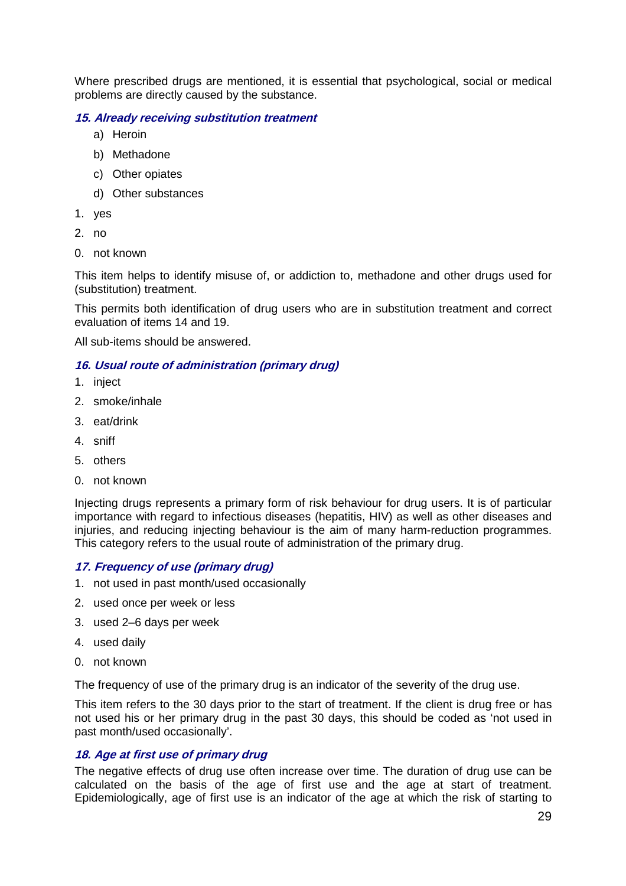Where prescribed drugs are mentioned, it is essential that psychological, social or medical problems are directly caused by the substance.

#### **15. Already receiving substitution treatment**

- a) Heroin
- b) Methadone
- c) Other opiates
- d) Other substances
- 1. yes
- 2. no
- 0. not known

This item helps to identify misuse of, or addiction to, methadone and other drugs used for (substitution) treatment.

This permits both identification of drug users who are in substitution treatment and correct evaluation of items 14 and 19.

All sub-items should be answered.

#### **16. Usual route of administration (primary drug)**

- 1. inject
- 2. smoke/inhale
- 3. eat/drink
- 4. sniff
- 5. others
- 0. not known

Injecting drugs represents a primary form of risk behaviour for drug users. It is of particular importance with regard to infectious diseases (hepatitis, HIV) as well as other diseases and injuries, and reducing injecting behaviour is the aim of many harm-reduction programmes. This category refers to the usual route of administration of the primary drug.

#### **17. Frequency of use (primary drug)**

- 1. not used in past month/used occasionally
- 2. used once per week or less
- 3. used 2–6 days per week
- 4. used daily
- 0. not known

The frequency of use of the primary drug is an indicator of the severity of the drug use.

This item refers to the 30 days prior to the start of treatment. If the client is drug free or has not used his or her primary drug in the past 30 days, this should be coded as 'not used in past month/used occasionally'.

#### **18. Age at first use of primary drug**

The negative effects of drug use often increase over time. The duration of drug use can be calculated on the basis of the age of first use and the age at start of treatment. Epidemiologically, age of first use is an indicator of the age at which the risk of starting to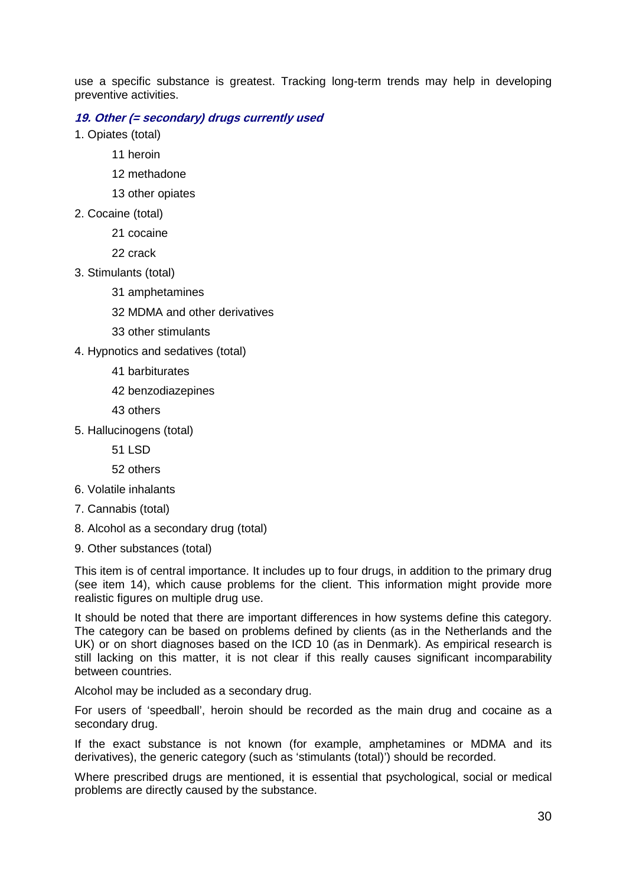use a specific substance is greatest. Tracking long-term trends may help in developing preventive activities.

#### **19. Other (= secondary) drugs currently used**

1. Opiates (total)

- 11 heroin
- 12 methadone
- 13 other opiates
- 2. Cocaine (total)
	- 21 cocaine

22 crack

- 3. Stimulants (total)
	- 31 amphetamines
	- 32 MDMA and other derivatives
	- 33 other stimulants
- 4. Hypnotics and sedatives (total)
	- 41 barbiturates
	- 42 benzodiazepines
	- 43 others
- 5. Hallucinogens (total)
	- 51 LSD
	- 52 others
- 6. Volatile inhalants
- 7. Cannabis (total)
- 8. Alcohol as a secondary drug (total)
- 9. Other substances (total)

This item is of central importance. It includes up to four drugs, in addition to the primary drug (see item 14), which cause problems for the client. This information might provide more realistic figures on multiple drug use.

It should be noted that there are important differences in how systems define this category. The category can be based on problems defined by clients (as in the Netherlands and the UK) or on short diagnoses based on the ICD 10 (as in Denmark). As empirical research is still lacking on this matter, it is not clear if this really causes significant incomparability between countries.

Alcohol may be included as a secondary drug.

For users of 'speedball', heroin should be recorded as the main drug and cocaine as a secondary drug.

If the exact substance is not known (for example, amphetamines or MDMA and its derivatives), the generic category (such as 'stimulants (total)') should be recorded.

Where prescribed drugs are mentioned, it is essential that psychological, social or medical problems are directly caused by the substance.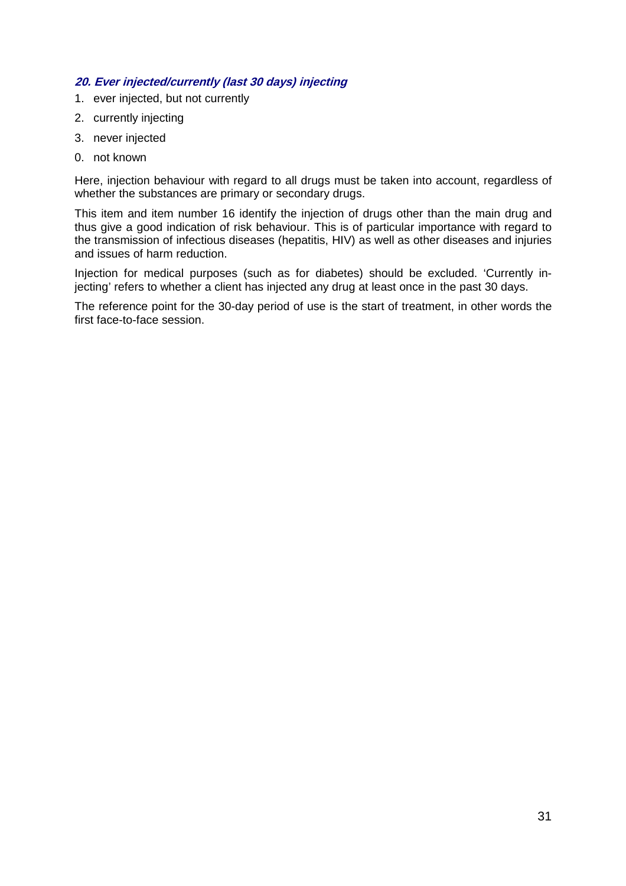#### **20. Ever injected/currently (last 30 days) injecting**

- 1. ever injected, but not currently
- 2. currently injecting
- 3. never injected
- 0. not known

Here, injection behaviour with regard to all drugs must be taken into account, regardless of whether the substances are primary or secondary drugs.

This item and item number 16 identify the injection of drugs other than the main drug and thus give a good indication of risk behaviour. This is of particular importance with regard to the transmission of infectious diseases (hepatitis, HIV) as well as other diseases and injuries and issues of harm reduction.

Injection for medical purposes (such as for diabetes) should be excluded. 'Currently injecting' refers to whether a client has injected any drug at least once in the past 30 days.

The reference point for the 30-day period of use is the start of treatment, in other words the first face-to-face session.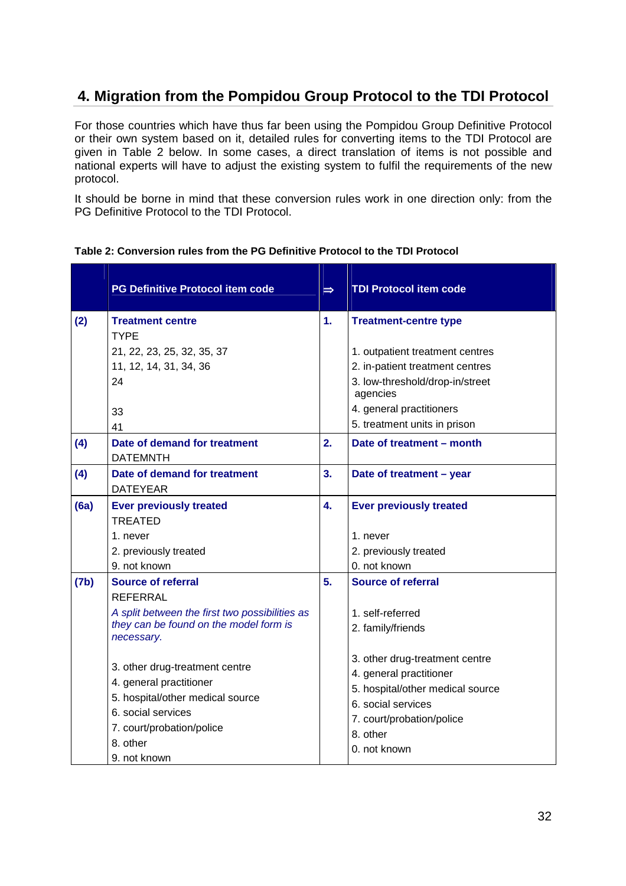## <span id="page-31-0"></span>**4. Migration from the Pompidou Group Protocol to the TDI Protocol**

For those countries which have thus far been using the Pompidou Group Definitive Protocol or their own system based on it, detailed rules for converting items to the TDI Protocol are given in Table 2 below. In some cases, a direct translation of items is not possible and national experts will have to adjust the existing system to fulfil the requirements of the new protocol.

It should be borne in mind that these conversion rules work in one direction only: from the PG Definitive Protocol to the TDI Protocol.

|      | <b>PG Definitive Protocol item code</b>                                                                                                                                      | $\Rightarrow$    | <b>TDI Protocol item code</b>                                                                                                                                                |
|------|------------------------------------------------------------------------------------------------------------------------------------------------------------------------------|------------------|------------------------------------------------------------------------------------------------------------------------------------------------------------------------------|
| (2)  | <b>Treatment centre</b><br><b>TYPE</b><br>21, 22, 23, 25, 32, 35, 37                                                                                                         | 1.               | <b>Treatment-centre type</b><br>1. outpatient treatment centres                                                                                                              |
|      | 11, 12, 14, 31, 34, 36<br>24                                                                                                                                                 |                  | 2. in-patient treatment centres<br>3. low-threshold/drop-in/street<br>agencies                                                                                               |
|      | 33<br>41                                                                                                                                                                     |                  | 4. general practitioners<br>5. treatment units in prison                                                                                                                     |
| (4)  | Date of demand for treatment<br><b>DATEMNTH</b>                                                                                                                              | 2.               | Date of treatment - month                                                                                                                                                    |
| (4)  | Date of demand for treatment<br><b>DATEYEAR</b>                                                                                                                              | 3.               | Date of treatment - year                                                                                                                                                     |
| (6a) | <b>Ever previously treated</b><br><b>TREATED</b><br>1. never<br>2. previously treated                                                                                        | $\overline{4}$ . | <b>Ever previously treated</b><br>1. never<br>2. previously treated                                                                                                          |
|      | 9. not known                                                                                                                                                                 |                  | 0. not known                                                                                                                                                                 |
| (7b) | Source of referral<br><b>REFERRAL</b><br>A split between the first two possibilities as<br>they can be found on the model form is<br>necessary.                              | 5.               | Source of referral<br>1. self-referred<br>2. family/friends                                                                                                                  |
|      | 3. other drug-treatment centre<br>4. general practitioner<br>5. hospital/other medical source<br>6. social services<br>7. court/probation/police<br>8. other<br>9. not known |                  | 3. other drug-treatment centre<br>4. general practitioner<br>5. hospital/other medical source<br>6. social services<br>7. court/probation/police<br>8. other<br>0. not known |

#### **Table 2: Conversion rules from the PG Definitive Protocol to the TDI Protocol**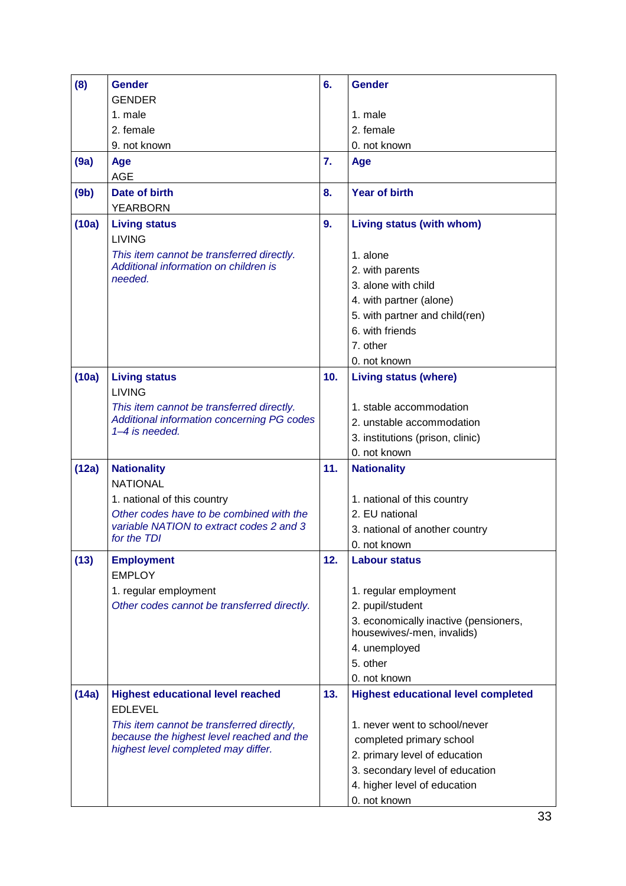| (8)   | <b>Gender</b>                                                                          | 6.  | <b>Gender</b>                                                       |
|-------|----------------------------------------------------------------------------------------|-----|---------------------------------------------------------------------|
|       | <b>GENDER</b>                                                                          |     |                                                                     |
|       | 1. male                                                                                |     | 1. male                                                             |
|       | 2. female                                                                              |     | 2. female                                                           |
|       | 9. not known                                                                           |     | 0. not known                                                        |
| (9a)  | Age<br><b>AGE</b>                                                                      | 7.  | Age                                                                 |
| (9b)  | Date of birth                                                                          | 8.  | <b>Year of birth</b>                                                |
|       | <b>YEARBORN</b>                                                                        |     |                                                                     |
| (10a) | <b>Living status</b><br><b>LIVING</b>                                                  | 9.  | Living status (with whom)                                           |
|       | This item cannot be transferred directly.                                              |     | 1. alone                                                            |
|       | Additional information on children is                                                  |     | 2. with parents                                                     |
|       | needed.                                                                                |     | 3. alone with child                                                 |
|       |                                                                                        |     | 4. with partner (alone)                                             |
|       |                                                                                        |     | 5. with partner and child(ren)                                      |
|       |                                                                                        |     | 6. with friends                                                     |
|       |                                                                                        |     | 7. other                                                            |
|       |                                                                                        |     | 0. not known                                                        |
| (10a) | <b>Living status</b><br><b>LIVING</b>                                                  | 10. | <b>Living status (where)</b>                                        |
|       | This item cannot be transferred directly.                                              |     | 1. stable accommodation                                             |
|       | Additional information concerning PG codes                                             |     | 2. unstable accommodation                                           |
|       | 1-4 is needed.                                                                         |     | 3. institutions (prison, clinic)                                    |
|       |                                                                                        |     | 0. not known                                                        |
| (12a) | <b>Nationality</b>                                                                     | 11. | <b>Nationality</b>                                                  |
|       | <b>NATIONAL</b>                                                                        |     |                                                                     |
|       | 1. national of this country                                                            |     | 1. national of this country                                         |
|       | Other codes have to be combined with the                                               |     | 2. EU national                                                      |
|       | variable NATION to extract codes 2 and 3                                               |     | 3. national of another country                                      |
|       | for the TDI                                                                            |     | 0. not known                                                        |
| (13)  | <b>Employment</b>                                                                      | 12. | <b>Labour status</b>                                                |
|       | <b>EMPLOY</b>                                                                          |     |                                                                     |
|       | 1. regular employment                                                                  |     | 1. regular employment                                               |
|       | Other codes cannot be transferred directly.                                            |     | 2. pupil/student                                                    |
|       |                                                                                        |     | 3. economically inactive (pensioners,<br>housewives/-men, invalids) |
|       |                                                                                        |     | 4. unemployed                                                       |
|       |                                                                                        |     | 5. other                                                            |
|       |                                                                                        |     | 0. not known                                                        |
| (14a) | <b>Highest educational level reached</b>                                               | 13. | <b>Highest educational level completed</b>                          |
|       | <b>EDLEVEL</b>                                                                         |     |                                                                     |
|       | This item cannot be transferred directly,<br>because the highest level reached and the |     | 1. never went to school/never                                       |
|       | highest level completed may differ.                                                    |     | completed primary school                                            |
|       |                                                                                        |     | 2. primary level of education                                       |
|       |                                                                                        |     | 3. secondary level of education                                     |
|       |                                                                                        |     | 4. higher level of education                                        |
|       |                                                                                        |     | 0. not known                                                        |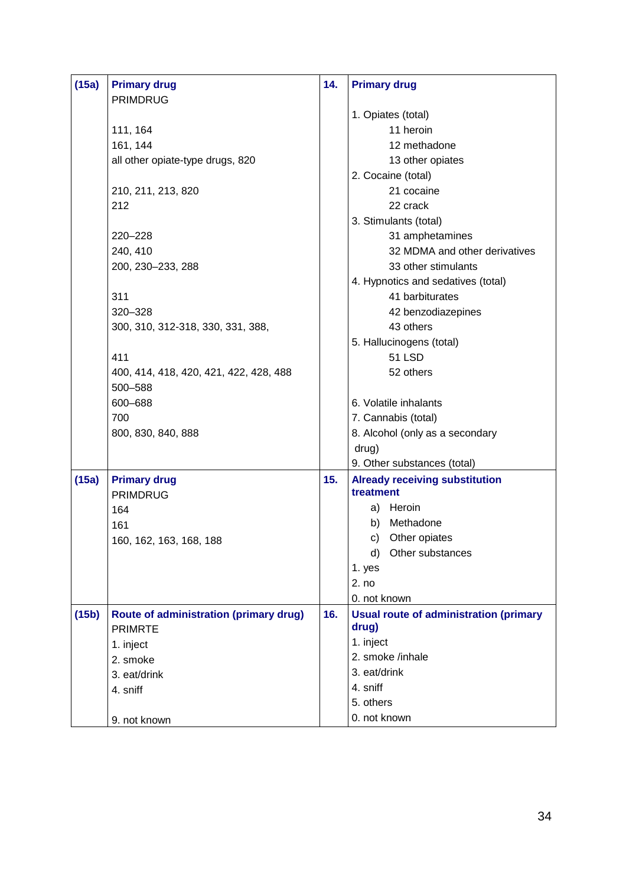| 32 MDMA and other derivatives                 |
|-----------------------------------------------|
|                                               |
| 4. Hypnotics and sedatives (total)            |
|                                               |
| 42 benzodiazepines                            |
|                                               |
|                                               |
|                                               |
|                                               |
|                                               |
|                                               |
|                                               |
| 8. Alcohol (only as a secondary               |
|                                               |
|                                               |
| <b>Already receiving substitution</b>         |
|                                               |
|                                               |
|                                               |
|                                               |
|                                               |
|                                               |
|                                               |
| <b>Usual route of administration (primary</b> |
|                                               |
|                                               |
|                                               |
|                                               |
|                                               |
|                                               |
|                                               |
|                                               |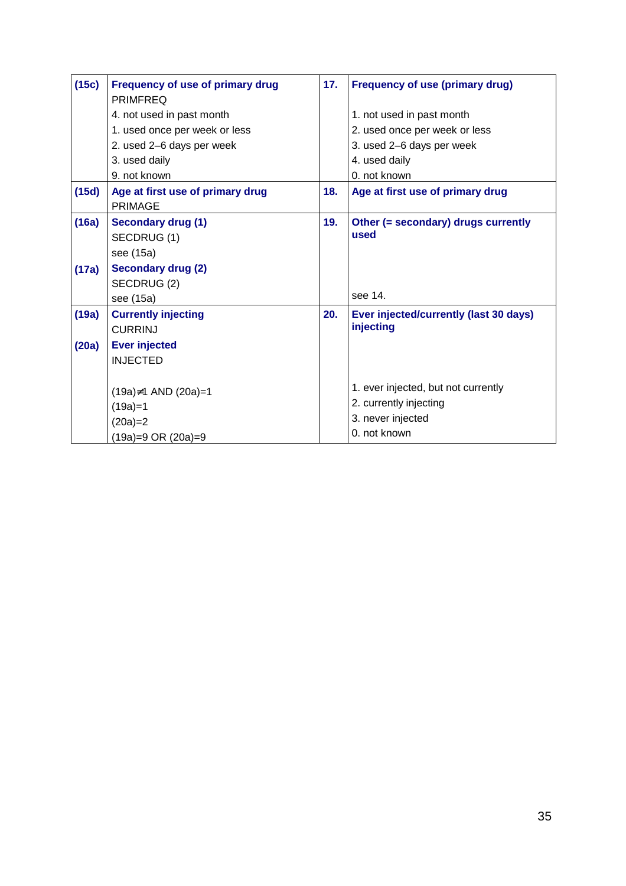| (15c) | <b>Frequency of use of primary drug</b><br><b>PRIMFREQ</b> | 17. | <b>Frequency of use (primary drug)</b> |
|-------|------------------------------------------------------------|-----|----------------------------------------|
|       | 4. not used in past month                                  |     | 1. not used in past month              |
|       | 1. used once per week or less                              |     | 2. used once per week or less          |
|       | 2. used 2-6 days per week                                  |     | 3. used 2-6 days per week              |
|       | 3. used daily                                              |     | 4. used daily                          |
|       | 9. not known                                               |     | 0. not known                           |
| (15d) | Age at first use of primary drug<br><b>PRIMAGE</b>         | 18. | Age at first use of primary drug       |
| (16a) | <b>Secondary drug (1)</b>                                  | 19. | Other (= secondary) drugs currently    |
|       | SECDRUG (1)                                                |     | used                                   |
|       | see (15a)                                                  |     |                                        |
| (17a) | <b>Secondary drug (2)</b>                                  |     |                                        |
|       | SECDRUG(2)                                                 |     |                                        |
|       | see (15a)                                                  |     | see 14.                                |
| (19a) | <b>Currently injecting</b>                                 | 20. | Ever injected/currently (last 30 days) |
|       | <b>CURRINJ</b>                                             |     | injecting                              |
| (20a) | <b>Ever injected</b>                                       |     |                                        |
|       | <b>INJECTED</b>                                            |     |                                        |
|       |                                                            |     |                                        |
|       | $(19a) \ne 1$ AND $(20a) = 1$                              |     | 1. ever injected, but not currently    |
|       | $(19a)=1$                                                  |     | 2. currently injecting                 |
|       | $(20a)=2$                                                  |     | 3. never injected                      |
|       | (19a)=9 OR (20a)=9                                         |     | 0. not known                           |